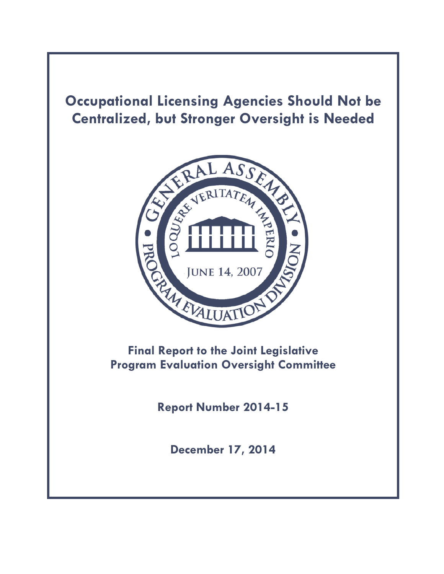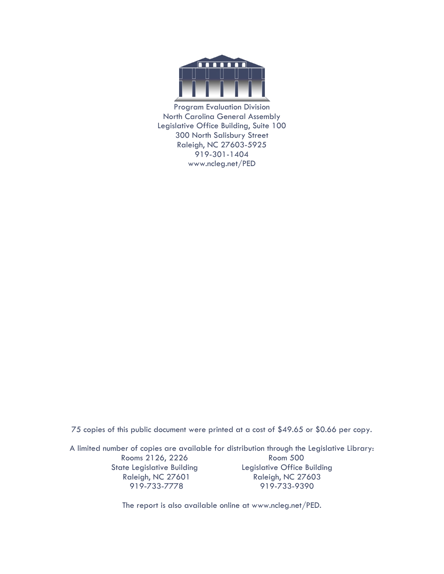

Program Evaluation Division North Carolina General Assembly Legislative Office Building, Suite 100 300 North Salisbury Street Raleigh, NC 27603-5925 919-301-1404 www.ncleg.net/PED

75 copies of this public document were printed at a cost of \$49.65 or \$0.66 per copy.

A limited number of copies are available for distribution through the Legislative Library: Rooms 2126, 2226 Room 500 State Legislative Building **Legislative Office Building** Raleigh, NC 27601 Raleigh, NC 27603 919-733-7778 919-733-9390

The report is also available online at www.ncleg.net/PED.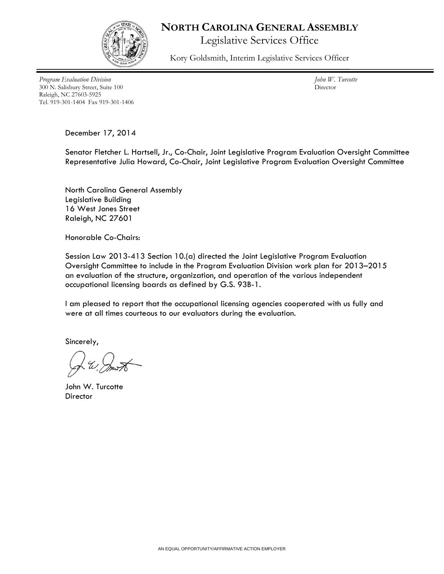

## **NORTH CAROLINA GENERAL ASSEMBLY**

Legislative Services Office

Kory Goldsmith, Interim Legislative Services Officer

*Program Evaluation Division* 300 N. Salisbury Street, Suite 100 Raleigh, NC 27603-5925 Tel. 919-301-1404 Fax 919-301-1406

*John W. Turcotte* Director

December 17, 2014

Senator Fletcher L. Hartsell, Jr., Co-Chair, Joint Legislative Program Evaluation Oversight Committee Representative Julia Howard, Co-Chair, Joint Legislative Program Evaluation Oversight Committee

North Carolina General Assembly Legislative Building 16 West Jones Street Raleigh, NC 27601

Honorable Co-Chairs:

Session Law 2013-413 Section 10.(a) directed the Joint Legislative Program Evaluation Oversight Committee to include in the Program Evaluation Division work plan for 2013–2015 an evaluation of the structure, organization, and operation of the various independent occupational licensing boards as defined by G.S. 93B-1.

I am pleased to report that the occupational licensing agencies cooperated with us fully and were at all times courteous to our evaluators during the evaluation.

Sincerely,

John W. Turcotte **Director**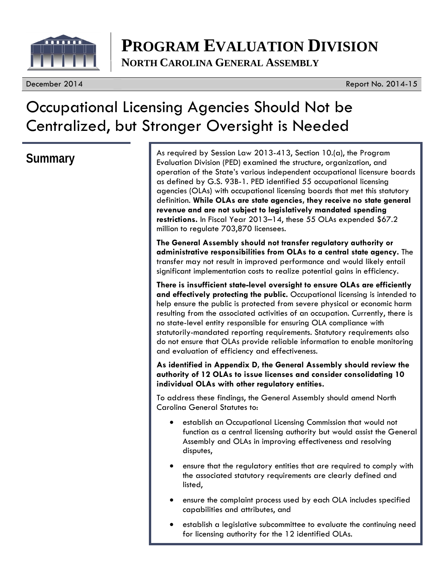

# **PROGRAM EVALUATION DIVISION NORTH CAROLINA GENERAL ASSEMBLY**

December 2014 Report No. 2014-15

# Occupational Licensing Agencies Should Not be Centralized, but Stronger Oversight is Needed

**Summary** As required by Session Law 2013-413, Section 10.(a), the Program<br>Evaluation Division (PED) examined the structure examination and Evaluation Division (PED) examined the structure, organization, and operation of the State's various independent occupational licensure boards as defined by G.S. 93B-1. PED identified 55 occupational licensing agencies (OLAs) with occupational licensing boards that met this statutory definition. **While OLAs are state agencies, they receive no state general revenue and are not subject to legislatively mandated spending restrictions.** In Fiscal Year 2013–14, these 55 OLAs expended \$67.2 million to regulate 703,870 licensees.

> **The General Assembly should not transfer regulatory authority or administrative responsibilities from OLAs to a central state agency.** The transfer may not result in improved performance and would likely entail significant implementation costs to realize potential gains in efficiency.

**There is insufficient state-level oversight to ensure OLAs are efficiently and effectively protecting the public.** Occupational licensing is intended to help ensure the public is protected from severe physical or economic harm resulting from the associated activities of an occupation. Currently, there is no state-level entity responsible for ensuring OLA compliance with statutorily-mandated reporting requirements. Statutory requirements also do not ensure that OLAs provide reliable information to enable monitoring and evaluation of efficiency and effectiveness.

**As identified in Appendix D, the General Assembly should review the authority of 12 OLAs to issue licenses and consider consolidating 10 individual OLAs with other regulatory entities.** 

To address these findings, the General Assembly should amend North Carolina General Statutes to:

- establish an Occupational Licensing Commission that would not function as a central licensing authority but would assist the General Assembly and OLAs in improving effectiveness and resolving disputes,
- ensure that the regulatory entities that are required to comply with the associated statutory requirements are clearly defined and listed,
- ensure the complaint process used by each OLA includes specified capabilities and attributes, and
- establish a legislative subcommittee to evaluate the continuing need for licensing authority for the 12 identified OLAs.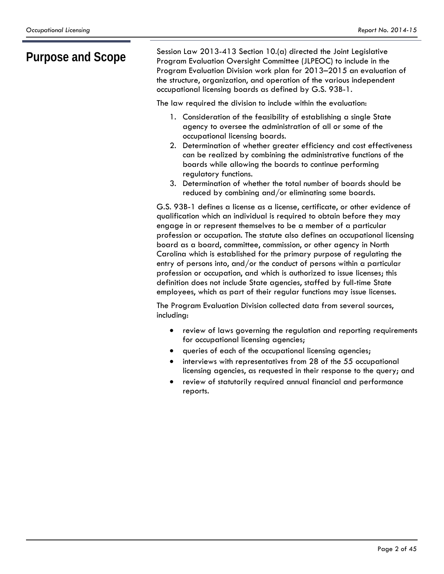**Purpose and Scope** Session Law 2013-413 Section 10.(a) directed the Joint Legislative<br>Program Evaluation Oversight Committee (JLPEOC) to include in the Program Evaluation Oversight Committee (JLPEOC) to include in the Program Evaluation Division work plan for 2013–2015 an evaluation of the structure, organization, and operation of the various independent occupational licensing boards as defined by G.S. 93B-1.

The law required the division to include within the evaluation:

- 1. Consideration of the feasibility of establishing a single State agency to oversee the administration of all or some of the occupational licensing boards.
- 2. Determination of whether greater efficiency and cost effectiveness can be realized by combining the administrative functions of the boards while allowing the boards to continue performing regulatory functions.
- 3. Determination of whether the total number of boards should be reduced by combining and/or eliminating some boards.

G.S. 93B-1 defines a license as a license, certificate, or other evidence of qualification which an individual is required to obtain before they may engage in or represent themselves to be a member of a particular profession or occupation. The statute also defines an occupational licensing board as a board, committee, commission, or other agency in North Carolina which is established for the primary purpose of regulating the entry of persons into, and/or the conduct of persons within a particular profession or occupation, and which is authorized to issue licenses; this definition does not include State agencies, staffed by full-time State employees, which as part of their regular functions may issue licenses.

The Program Evaluation Division collected data from several sources, including:

- review of laws governing the regulation and reporting requirements for occupational licensing agencies;
- queries of each of the occupational licensing agencies;
- interviews with representatives from 28 of the 55 occupational licensing agencies, as requested in their response to the query; and
- review of statutorily required annual financial and performance reports.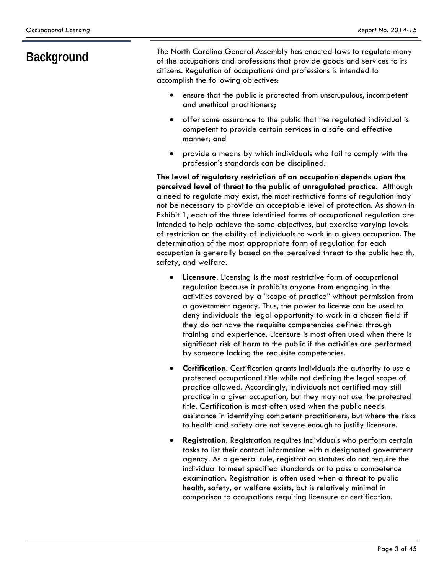**Background** The North Carolina General Assembly has enacted laws to regulate many<br>of the occupations and professions that provide goods and services to its of the occupations and professions that provide goods and services to its citizens. Regulation of occupations and professions is intended to accomplish the following objectives:

- ensure that the public is protected from unscrupulous, incompetent and unethical practitioners;
- offer some assurance to the public that the regulated individual is competent to provide certain services in a safe and effective manner; and
- provide a means by which individuals who fail to comply with the profession's standards can be disciplined.

**The level of regulatory restriction of an occupation depends upon the perceived level of threat to the public of unregulated practice.** Although a need to regulate may exist, the most restrictive forms of regulation may not be necessary to provide an acceptable level of protection. As shown in Exhibit 1, each of the three identified forms of occupational regulation are intended to help achieve the same objectives, but exercise varying levels of restriction on the ability of individuals to work in a given occupation. The determination of the most appropriate form of regulation for each occupation is generally based on the perceived threat to the public health, safety, and welfare.

- **Licensure.** Licensing is the most restrictive form of occupational regulation because it prohibits anyone from engaging in the activities covered by a "scope of practice" without permission from a government agency. Thus, the power to license can be used to deny individuals the legal opportunity to work in a chosen field if they do not have the requisite competencies defined through training and experience. Licensure is most often used when there is significant risk of harm to the public if the activities are performed by someone lacking the requisite competencies.
- **Certification**. Certification grants individuals the authority to use a protected occupational title while not defining the legal scope of practice allowed. Accordingly, individuals not certified may still practice in a given occupation, but they may not use the protected title. Certification is most often used when the public needs assistance in identifying competent practitioners, but where the risks to health and safety are not severe enough to justify licensure.
- **Registration**. Registration requires individuals who perform certain tasks to list their contact information with a designated government agency. As a general rule, registration statutes do not require the individual to meet specified standards or to pass a competence examination. Registration is often used when a threat to public health, safety, or welfare exists, but is relatively minimal in comparison to occupations requiring licensure or certification.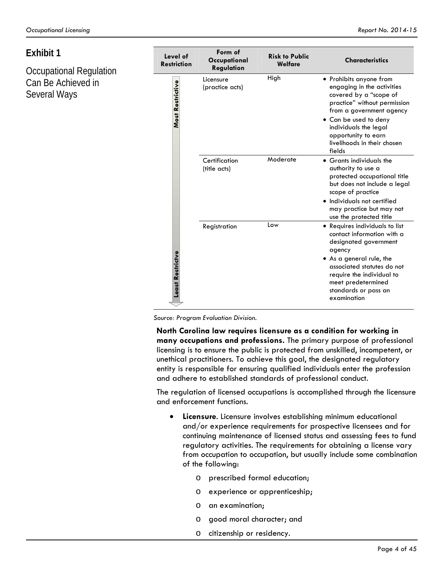# **Exhibit 1**

Occupational Regulation Can Be Achieved in Several Ways

| Level of<br><b>Restriction</b> | Form of<br>Occupational<br>Regulation | <b>Risk to Public</b><br>Welfare | <b>Characteristics</b>                                                                                                                                                                                                                                        |
|--------------------------------|---------------------------------------|----------------------------------|---------------------------------------------------------------------------------------------------------------------------------------------------------------------------------------------------------------------------------------------------------------|
| Most Restrictive               | Licensure<br>(practice acts)          | High                             | • Prohibits anyone from<br>engaging in the activities<br>covered by a "scope of<br>practice" without permission<br>from a government agency<br>• Can be used to deny<br>individuals the legal<br>opportunity to earn<br>livelihoods in their chosen<br>fields |
|                                | Certification<br>(title acts)         | Moderate                         | • Grants individuals the<br>authority to use a<br>protected occupational title<br>but does not include a legal<br>scope of practice<br>• Individuals not certified<br>may practice but may not<br>use the protected title                                     |
| Least Restrictve               | Registration                          | Low                              | • Requires individuals to list<br>contact information with a<br>designated government<br>agency<br>• As a general rule, the<br>associated statutes do not<br>require the individual to<br>meet predetermined<br>standards or pass an<br>examination           |

*Source: Program Evaluation Division.*

**North Carolina law requires licensure as a condition for working in many occupations and professions.** The primary purpose of professional licensing is to ensure the public is protected from unskilled, incompetent, or unethical practitioners. To achieve this goal, the designated regulatory entity is responsible for ensuring qualified individuals enter the profession and adhere to established standards of professional conduct.

The regulation of licensed occupations is accomplished through the licensure and enforcement functions.

- **Licensure**. Licensure involves establishing minimum educational and/or experience requirements for prospective licensees and for continuing maintenance of licensed status and assessing fees to fund regulatory activities. The requirements for obtaining a license vary from occupation to occupation, but usually include some combination of the following:
	- o prescribed formal education;
	- o experience or apprenticeship;
	- o an examination;
	- o good moral character; and
	- o citizenship or residency.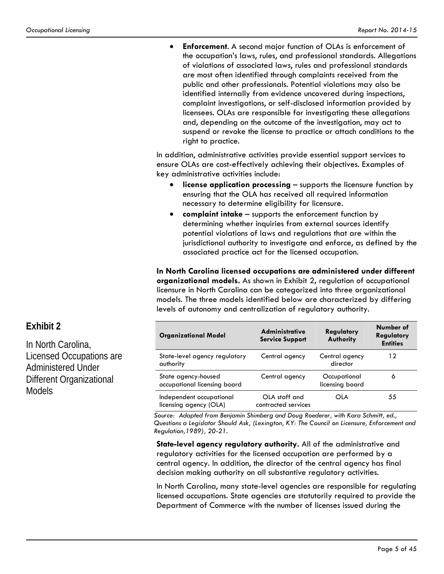**Enforcement**. A second major function of OLAs is enforcement of the occupation's laws, rules, and professional standards. Allegations of violations of associated laws, rules and professional standards are most often identified through complaints received from the public and other professionals. Potential violations may also be identified internally from evidence uncovered during inspections, complaint investigations, or self-disclosed information provided by licensees. OLAs are responsible for investigating these allegations and, depending on the outcome of the investigation, may act to suspend or revoke the license to practice or attach conditions to the right to practice.

In addition, administrative activities provide essential support services to ensure OLAs are cost-effectively achieving their objectives. Examples of key administrative activities include:

- **license application processing**  supports the licensure function by ensuring that the OLA has received all required information necessary to determine eligibility for licensure.
- **complaint intake** supports the enforcement function by determining whether inquiries from external sources identify potential violations of laws and regulations that are within the jurisdictional authority to investigate and enforce, as defined by the associated practice act for the licensed occupation.

**In North Carolina licensed occupations are administered under different organizational models.** As shown in Exhibit 2**,** regulation of occupational licensure in North Carolina can be categorized into three organizational models. The three models identified below are characterized by differing levels of autonomy and centralization of regulatory authority.

| <b>Organizational Model</b>                         | <b>Administrative</b><br><b>Service Support</b> | Regulatory<br>Authority         | Number of<br>Regulatory<br><b>Entities</b> |
|-----------------------------------------------------|-------------------------------------------------|---------------------------------|--------------------------------------------|
| State-level agency regulatory<br>authority          | Central agency                                  | Central agency<br>director      | 12                                         |
| State agency-housed<br>occupational licensing board | Central agency                                  | Occupational<br>licensing board | 6                                          |
| Independent occupational<br>licensing agency (OLA)  | OLA staff and<br>contracted services            | OLA                             | 55                                         |

*Source: Adapted from Benjamin Shimberg and Doug Roederer, with Kara Schmitt, ed., Questions a Legislator Should Ask, (Lexington, KY: The Council on Licensure, Enforcement and Regulation,1989), 20-21.* 

**State-level agency regulatory authority.** All of the administrative and regulatory activities for the licensed occupation are performed by a central agency. In addition, the director of the central agency has final decision making authority on all substantive regulatory activities.

In North Carolina, many state-level agencies are responsible for regulating licensed occupations. State agencies are statutorily required to provide the Department of Commerce with the number of licenses issued during the

# **Exhibit 2**

In North Carolina, Licensed Occupations are Administered Under Different Organizational Models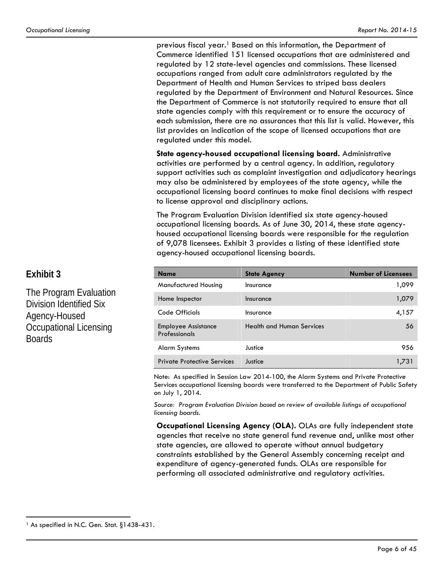previous fiscal year.1 Based on this information, the Department of Commerce identified 151 licensed occupations that are administered and regulated by 12 state-level agencies and commissions. These licensed occupations ranged from adult care administrators regulated by the Department of Health and Human Services to striped bass dealers regulated by the Department of Environment and Natural Resources. Since the Department of Commerce is not statutorily required to ensure that all state agencies comply with this requirement or to ensure the accuracy of each submission, there are no assurances that this list is valid. However, this list provides an indication of the scope of licensed occupations that are regulated under this model.

**State agency-housed occupational licensing board.** Administrative activities are performed by a central agency. In addition, regulatory support activities such as complaint investigation and adjudicatory hearings may also be administered by employees of the state agency, while the occupational licensing board continues to make final decisions with respect to license approval and disciplinary actions.

The Program Evaluation Division identified six state agency-housed occupational licensing boards. As of June 30, 2014, these state agencyhoused occupational licensing boards were responsible for the regulation of 9,078 licensees. Exhibit 3 provides a listing of these identified state agency-housed occupational licensing boards.

| <b>Name</b>                                 | <b>State Agency</b>              | <b>Number of Licensees</b> |
|---------------------------------------------|----------------------------------|----------------------------|
| Manufactured Housing                        | Insurance                        | 1,099                      |
| Home Inspector                              | Insurance                        | 1,079                      |
| Code Officials                              | Insurance                        | 4,157                      |
| <b>Employee Assistance</b><br>Professionals | <b>Health and Human Services</b> | 56                         |
| Alarm Systems                               | Justice                          | 956                        |
| <b>Private Protective Services</b>          | Justice                          | 1.731                      |

Note: As specified in Session Law 2014-100, the Alarm Systems and Private Protective Services occupational licensing boards were transferred to the Department of Public Safety on July 1, 2014.

*Source: Program Evaluation Division based on review of available listings of occupational licensing boards.* 

**Occupational Licensing Agency (OLA).** OLAs are fully independent state agencies that receive no state general fund revenue and, unlike most other state agencies, are allowed to operate without annual budgetary constraints established by the General Assembly concerning receipt and expenditure of agency-generated funds. OLAs are responsible for performing all associated administrative and regulatory activities.

## **Exhibit 3**

 $\overline{a}$ 

The Program Evaluation Division Identified Six Agency-Housed Occupational Licensing Boards

<sup>&</sup>lt;sup>1</sup> As specified in N.C. Gen. Stat. §143B-431.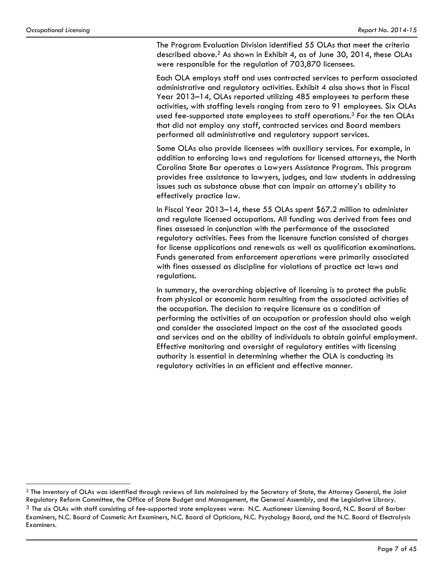$\overline{a}$ 

The Program Evaluation Division identified 55 OLAs that meet the criteria described above.2 As shown in Exhibit 4, as of June 30, 2014, these OLAs were responsible for the regulation of 703,870 licensees.

Each OLA employs staff and uses contracted services to perform associated administrative and regulatory activities. Exhibit 4 also shows that in Fiscal Year 2013–14, OLAs reported utilizing 485 employees to perform these activities, with staffing levels ranging from zero to 91 employees. Six OLAs used fee-supported state employees to staff operations.<sup>3</sup> For the ten OLAs that did not employ any staff, contracted services and Board members performed all administrative and regulatory support services.

Some OLAs also provide licensees with auxiliary services. For example, in addition to enforcing laws and regulations for licensed attorneys, the North Carolina State Bar operates a Lawyers Assistance Program. This program provides free assistance to lawyers, judges, and law students in addressing issues such as substance abuse that can impair an attorney's ability to effectively practice law.

In Fiscal Year 2013–14, these 55 OLAs spent \$67.2 million to administer and regulate licensed occupations. All funding was derived from fees and fines assessed in conjunction with the performance of the associated regulatory activities. Fees from the licensure function consisted of charges for license applications and renewals as well as qualification examinations. Funds generated from enforcement operations were primarily associated with fines assessed as discipline for violations of practice act laws and regulations.

In summary, the overarching objective of licensing is to protect the public from physical or economic harm resulting from the associated activities of the occupation. The decision to require licensure as a condition of performing the activities of an occupation or profession should also weigh and consider the associated impact on the cost of the associated goods and services and on the ability of individuals to obtain gainful employment. Effective monitoring and oversight of regulatory entities with licensing authority is essential in determining whether the OLA is conducting its regulatory activities in an efficient and effective manner.

<sup>&</sup>lt;sup>2</sup> The inventory of OLAs was identified through reviews of lists maintained by the Secretary of State, the Attorney General, the Joint Regulatory Reform Committee, the Office of State Budget and Management, the General Assembly, and the Legislative Library.  $3$  The six OLAs with staff consisting of fee-supported state employees were: N.C. Auctioneer Licensing Board, N.C. Board of Barber Examiners, N.C. Board of Cosmetic Art Examiners, N.C. Board of Opticians, N.C. Psychology Board, and the N.C. Board of Electrolysis Examiners.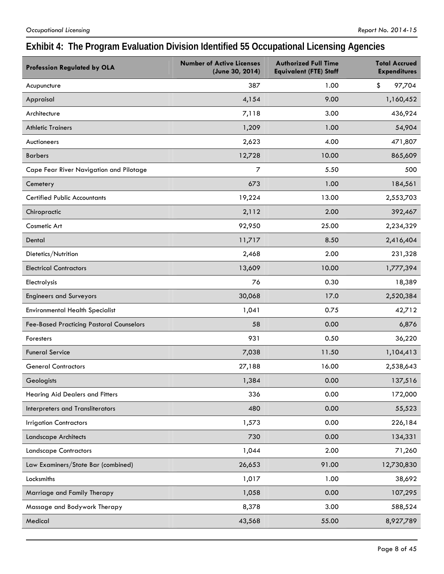# **Exhibit 4: The Program Evaluation Division Identified 55 Occupational Licensing Agencies**

| <b>Profession Regulated by OLA</b>              | <b>Number of Active Licenses</b><br>(June 30, 2014) | <b>Authorized Full Time</b><br><b>Equivalent (FTE) Staff</b> | <b>Total Accrued</b><br><b>Expenditures</b> |
|-------------------------------------------------|-----------------------------------------------------|--------------------------------------------------------------|---------------------------------------------|
| Acupuncture                                     | 387                                                 | 1.00                                                         | \$<br>97,704                                |
| Appraisal                                       | 4,154                                               | 9.00                                                         | 1,160,452                                   |
| Architecture                                    | 7,118                                               | 3.00                                                         | 436,924                                     |
| <b>Athletic Trainers</b>                        | 1,209                                               | 1.00                                                         | 54,904                                      |
| Auctioneers                                     | 2,623                                               | 4.00                                                         | 471,807                                     |
| <b>Barbers</b>                                  | 12,728                                              | 10.00                                                        | 865,609                                     |
| Cape Fear River Navigation and Pilotage         | 7                                                   | 5.50                                                         | 500                                         |
| Cemetery                                        | 673                                                 | 1.00                                                         | 184,561                                     |
| <b>Certified Public Accountants</b>             | 19,224                                              | 13.00                                                        | 2,553,703                                   |
| Chiropractic                                    | 2,112                                               | 2.00                                                         | 392,467                                     |
| Cosmetic Art                                    | 92,950                                              | 25.00                                                        | 2,234,329                                   |
| Dental                                          | 11,717                                              | 8.50                                                         | 2,416,404                                   |
| Dietetics/Nutrition                             | 2,468                                               | 2.00                                                         | 231,328                                     |
| <b>Electrical Contractors</b>                   | 13,609                                              | 10.00                                                        | 1,777,394                                   |
| Electrolysis                                    | 76                                                  | 0.30                                                         | 18,389                                      |
| <b>Engineers and Surveyors</b>                  | 30,068                                              | 17.0                                                         | 2,520,384                                   |
| <b>Environmental Health Specialist</b>          | 1,041                                               | 0.75                                                         | 42,712                                      |
| <b>Fee-Based Practicing Pastoral Counselors</b> | 58                                                  | 0.00                                                         | 6,876                                       |
| Foresters                                       | 931                                                 | 0.50                                                         | 36,220                                      |
| <b>Funeral Service</b>                          | 7,038                                               | 11.50                                                        | 1,104,413                                   |
| <b>General Contractors</b>                      | 27,188                                              | 16.00                                                        | 2,538,643                                   |
| Geologists                                      | 1,384                                               | 0.00                                                         | 137,516                                     |
| Hearing Aid Dealers and Fitters                 | 336                                                 | 0.00                                                         | 172,000                                     |
| Interpreters and Transliterators                | 480                                                 | 0.00                                                         | 55,523                                      |
| <b>Irrigation Contractors</b>                   | 1,573                                               | 0.00                                                         | 226,184                                     |
| Landscape Architects                            | 730                                                 | 0.00                                                         | 134,331                                     |
| <b>Landscape Contractors</b>                    | 1,044                                               | 2.00                                                         | 71,260                                      |
| Law Examiners/State Bar (combined)              | 26,653                                              | 91.00                                                        | 12,730,830                                  |
| Locksmiths                                      | 1,017                                               | 1.00                                                         | 38,692                                      |
| Marriage and Family Therapy                     | 1,058                                               | 0.00                                                         | 107,295                                     |
| Massage and Bodywork Therapy                    | 8,378                                               | 3.00                                                         | 588,524                                     |
| Medical                                         | 43,568                                              | 55.00                                                        | 8,927,789                                   |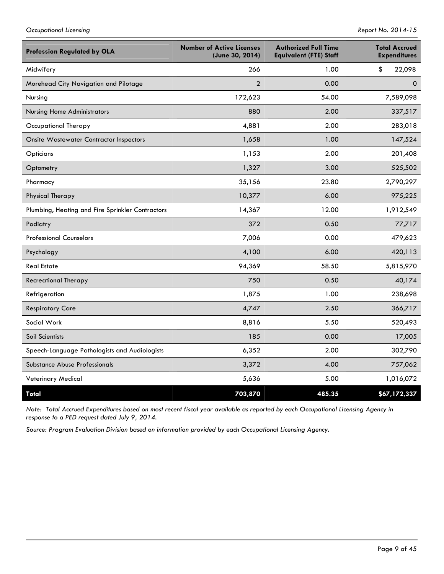| <b>Profession Regulated by OLA</b>               | <b>Number of Active Licenses</b><br>(June 30, 2014) | <b>Authorized Full Time</b><br><b>Equivalent (FTE) Staff</b> | <b>Total Accrued</b><br><b>Expenditures</b> |
|--------------------------------------------------|-----------------------------------------------------|--------------------------------------------------------------|---------------------------------------------|
| Midwifery                                        | 266                                                 | 1.00                                                         | \$<br>22,098                                |
| Morehead City Navigation and Pilotage            | $\overline{2}$                                      | 0.00                                                         | $\Omega$                                    |
| Nursing                                          | 172,623                                             | 54.00                                                        | 7,589,098                                   |
| <b>Nursing Home Administrators</b>               | 880                                                 | 2.00                                                         | 337,517                                     |
| Occupational Therapy                             | 4,881                                               | 2.00                                                         | 283,018                                     |
| <b>Onsite Wastewater Contractor Inspectors</b>   | 1,658                                               | 1.00                                                         | 147,524                                     |
| Opticians                                        | 1,153                                               | 2.00                                                         | 201,408                                     |
| Optometry                                        | 1,327                                               | 3.00                                                         | 525,502                                     |
| Pharmacy                                         | 35,156                                              | 23.80                                                        | 2,790,297                                   |
| Physical Therapy                                 | 10,377                                              | 6.00                                                         | 975,225                                     |
| Plumbing, Heating and Fire Sprinkler Contractors | 14,367                                              | 12.00                                                        | 1,912,549                                   |
| Podiatry                                         | 372                                                 | 0.50                                                         | 77,717                                      |
| <b>Professional Counselors</b>                   | 7,006                                               | 0.00                                                         | 479,623                                     |
| Psychology                                       | 4,100                                               | 6.00                                                         | 420,113                                     |
| <b>Real Estate</b>                               | 94,369                                              | 58.50                                                        | 5,815,970                                   |
| <b>Recreational Therapy</b>                      | 750                                                 | 0.50                                                         | 40,174                                      |
| Refrigeration                                    | 1,875                                               | 1.00                                                         | 238,698                                     |
| <b>Respiratory Care</b>                          | 4,747                                               | 2.50                                                         | 366,717                                     |
| Social Work                                      | 8,816                                               | 5.50                                                         | 520,493                                     |
| Soil Scientists                                  | 185                                                 | 0.00                                                         | 17,005                                      |
| Speech-Language Pathologists and Audiologists    | 6,352                                               | 2.00                                                         | 302,790                                     |
| Substance Abuse Professionals                    | 3,372                                               | 4.00                                                         | 757,062                                     |
| Veterinary Medical                               | 5,636                                               | 5.00                                                         | 1,016,072                                   |
| Total                                            | 703,870                                             | 485.35                                                       | \$67,172,337                                |

*Note: Total Accrued Expenditures based on most recent fiscal year available as reported by each Occupational Licensing Agency in response to a PED request dated July 9, 2014.* 

*Source: Program Evaluation Division based on information provided by each Occupational Licensing Agency.*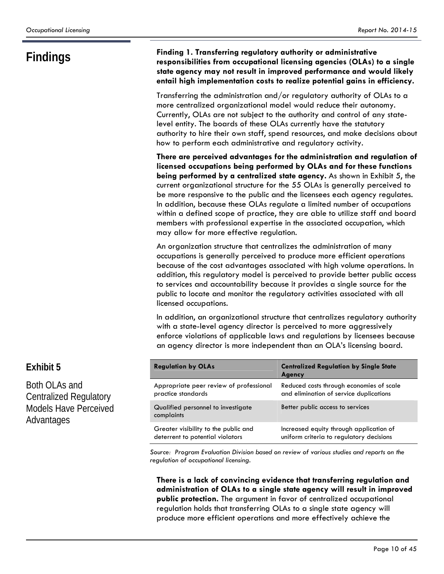### **Findings Finding 1. Transferring regulatory authority or administrative responsibilities from occupational licensing agencies (OLAs) to a single state agency may not result in improved performance and would likely entail high implementation costs to realize potential gains in efficiency.**

Transferring the administration and/or regulatory authority of OLAs to a more centralized organizational model would reduce their autonomy. Currently, OLAs are not subject to the authority and control of any statelevel entity. The boards of these OLAs currently have the statutory authority to hire their own staff, spend resources, and make decisions about how to perform each administrative and regulatory activity.

**There are perceived advantages for the administration and regulation of licensed occupations being performed by OLAs and for these functions being performed by a centralized state agency.** As shown in Exhibit 5, the current organizational structure for the 55 OLAs is generally perceived to be more responsive to the public and the licensees each agency regulates. In addition, because these OLAs regulate a limited number of occupations within a defined scope of practice, they are able to utilize staff and board members with professional expertise in the associated occupation, which may allow for more effective regulation.

An organization structure that centralizes the administration of many occupations is generally perceived to produce more efficient operations because of the cost advantages associated with high volume operations. In addition, this regulatory model is perceived to provide better public access to services and accountability because it provides a single source for the public to locate and monitor the regulatory activities associated with all licensed occupations.

In addition, an organizational structure that centralizes regulatory authority with a state-level agency director is perceived to more aggressively enforce violations of applicable laws and regulations by licensees because an agency director is more independent than an OLA's licensing board.

| <b>Regulation by OLAs</b>                        | <b>Centralized Regulation by Single State</b><br>Agency |
|--------------------------------------------------|---------------------------------------------------------|
| Appropriate peer review of professional          | Reduced costs through economies of scale                |
| practice standards                               | and elimination of service duplications                 |
| Qualified personnel to investigate<br>complaints | Better public access to services                        |
| Greater visibility to the public and             | Increased equity through application of                 |
| deterrent to potential violators                 | uniform criteria to regulatory decisions                |

*Source: Program Evaluation Division based on review of various studies and reports on the regulation of occupational licensing.* 

**There is a lack of convincing evidence that transferring regulation and administration of OLAs to a single state agency will result in improved public protection.** The argument in favor of centralized occupational regulation holds that transferring OLAs to a single state agency will produce more efficient operations and more effectively achieve the

## **Exhibit 5**

Both OLAs and Centralized Regulatory Models Have Perceived Advantages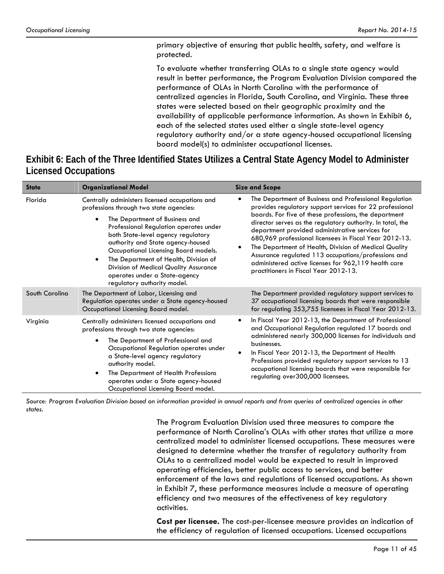primary objective of ensuring that public health, safety, and welfare is protected.

To evaluate whether transferring OLAs to a single state agency would result in better performance, the Program Evaluation Division compared the performance of OLAs in North Carolina with the performance of centralized agencies in Florida, South Carolina, and Virginia. These three states were selected based on their geographic proximity and the availability of applicable performance information. As shown in Exhibit 6, each of the selected states used either a single state-level agency regulatory authority and/or a state agency-housed occupational licensing board model(s) to administer occupational licenses.

**Exhibit 6: Each of the Three Identified States Utilizes a Central State Agency Model to Administer Licensed Occupations** 

| <b>State</b>   | <b>Organizational Model</b>                                                                                                                                                                                                                                                                                                                                                                                                                             | <b>Size and Scope</b>                                                                                                                                                                                                                                                                                                                                                                                                                                                                                                                                                   |
|----------------|---------------------------------------------------------------------------------------------------------------------------------------------------------------------------------------------------------------------------------------------------------------------------------------------------------------------------------------------------------------------------------------------------------------------------------------------------------|-------------------------------------------------------------------------------------------------------------------------------------------------------------------------------------------------------------------------------------------------------------------------------------------------------------------------------------------------------------------------------------------------------------------------------------------------------------------------------------------------------------------------------------------------------------------------|
| Florida        | Centrally administers licensed occupations and<br>professions through two state agencies:<br>The Department of Business and<br>Professional Regulation operates under<br>both State-level agency regulatory<br>authority and State agency-housed<br>Occupational Licensing Board models.<br>The Department of Health, Division of<br>$\bullet$<br>Division of Medical Quality Assurance<br>operates under a State-agency<br>regulatory authority model. | The Department of Business and Professional Regulation<br>provides regulatory support services for 22 professional<br>boards. For five of these professions, the department<br>director serves as the regulatory authority. In total, the<br>department provided administrative services for<br>680,969 professional licensees in Fiscal Year 2012-13.<br>The Department of Health, Division of Medical Quality<br>Assurance regulated 113 occupations/professions and<br>administered active licenses for 962,119 health care<br>practitioners in Fiscal Year 2012-13. |
| South Carolina | The Department of Labor, Licensing and<br>Regulation operates under a State agency-housed<br>Occupational Licensing Board model.                                                                                                                                                                                                                                                                                                                        | The Department provided regulatory support services to<br>37 occupational licensing boards that were responsible<br>for regulating 353,755 licensees in Fiscal Year 2012-13.                                                                                                                                                                                                                                                                                                                                                                                            |
| Virginia       | Centrally administers licensed occupations and<br>professions through two state agencies:<br>The Department of Professional and<br>$\bullet$<br>Occupational Regulation operates under<br>a State-level agency regulatory<br>authority model.<br>The Department of Health Professions<br>operates under a State agency-housed<br>Occupational Licensing Board model.                                                                                    | In Fiscal Year 2012-13, the Department of Professional<br>and Occupational Regulation regulated 17 boards and<br>administered nearly 300,000 licenses for individuals and<br>businesses.<br>In Fiscal Year 2012-13, the Department of Health<br>Professions provided regulatory support services to 13<br>occupational licensing boards that were responsible for<br>regulating over 300,000 licensees.                                                                                                                                                                 |

*Source: Program Evaluation Division based on information provided in annual reports and from queries of centralized agencies in other states.*

> The Program Evaluation Division used three measures to compare the performance of North Carolina's OLAs with other states that utilize a more centralized model to administer licensed occupations. These measures were designed to determine whether the transfer of regulatory authority from OLAs to a centralized model would be expected to result in improved operating efficiencies, better public access to services, and better enforcement of the laws and regulations of licensed occupations. As shown in Exhibit 7, these performance measures include a measure of operating efficiency and two measures of the effectiveness of key regulatory activities.

> **Cost per licensee.** The cost-per-licensee measure provides an indication of the efficiency of regulation of licensed occupations. Licensed occupations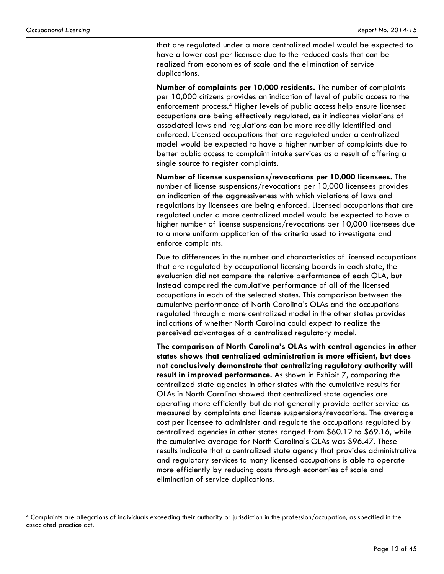$\overline{a}$ 

that are regulated under a more centralized model would be expected to have a lower cost per licensee due to the reduced costs that can be realized from economies of scale and the elimination of service duplications.

**Number of complaints per 10,000 residents.** The number of complaints per 10,000 citizens provides an indication of level of public access to the enforcement process.4 Higher levels of public access help ensure licensed occupations are being effectively regulated, as it indicates violations of associated laws and regulations can be more readily identified and enforced. Licensed occupations that are regulated under a centralized model would be expected to have a higher number of complaints due to better public access to complaint intake services as a result of offering a single source to register complaints.

**Number of license suspensions/revocations per 10,000 licensees.** The number of license suspensions/revocations per 10,000 licensees provides an indication of the aggressiveness with which violations of laws and regulations by licensees are being enforced. Licensed occupations that are regulated under a more centralized model would be expected to have a higher number of license suspensions/revocations per 10,000 licensees due to a more uniform application of the criteria used to investigate and enforce complaints.

Due to differences in the number and characteristics of licensed occupations that are regulated by occupational licensing boards in each state, the evaluation did not compare the relative performance of each OLA, but instead compared the cumulative performance of all of the licensed occupations in each of the selected states. This comparison between the cumulative performance of North Carolina's OLAs and the occupations regulated through a more centralized model in the other states provides indications of whether North Carolina could expect to realize the perceived advantages of a centralized regulatory model.

**The comparison of North Carolina's OLAs with central agencies in other states shows that centralized administration is more efficient, but does not conclusively demonstrate that centralizing regulatory authority will result in improved performance.** As shown in Exhibit 7, comparing the centralized state agencies in other states with the cumulative results for OLAs in North Carolina showed that centralized state agencies are operating more efficiently but do not generally provide better service as measured by complaints and license suspensions/revocations. The average cost per licensee to administer and regulate the occupations regulated by centralized agencies in other states ranged from \$60.12 to \$69.16, while the cumulative average for North Carolina's OLAs was \$96.47. These results indicate that a centralized state agency that provides administrative and regulatory services to many licensed occupations is able to operate more efficiently by reducing costs through economies of scale and elimination of service duplications.

<sup>4</sup> Complaints are allegations of individuals exceeding their authority or jurisdiction in the profession/occupation, as specified in the associated practice act.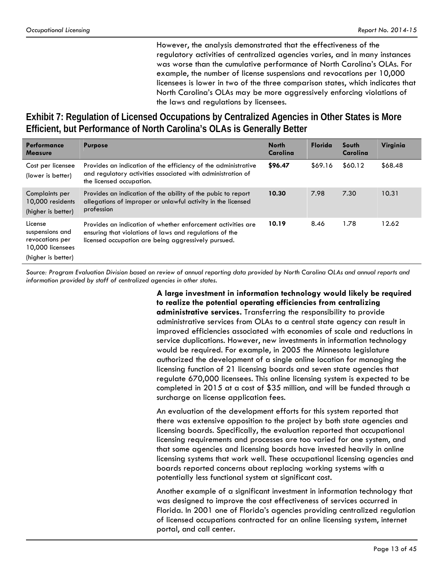However, the analysis demonstrated that the effectiveness of the regulatory activities of centralized agencies varies, and in many instances was worse than the cumulative performance of North Carolina's OLAs. For example, the number of license suspensions and revocations per 10,000 licensees is lower in two of the three comparison states, which indicates that North Carolina's OLAs may be more aggressively enforcing violations of the laws and regulations by licensees.

**Exhibit 7: Regulation of Licensed Occupations by Centralized Agencies in Other States is More Efficient, but Performance of North Carolina's OLAs is Generally Better** 

| <b>Performance</b><br><b>Measure</b>                                                    | <b>Purpose</b>                                                                                                                                                                 | <b>North</b><br>Carolina | <b>Florida</b> | South<br>Carolina | Virginia |
|-----------------------------------------------------------------------------------------|--------------------------------------------------------------------------------------------------------------------------------------------------------------------------------|--------------------------|----------------|-------------------|----------|
| Cost per licensee<br>(lower is better)                                                  | Provides an indication of the efficiency of the administrative<br>and regulatory activities associated with administration of<br>the licensed occupation.                      | \$96.47                  | \$69.16        | \$60.12           | \$68.48  |
| Complaints per<br>10,000 residents<br>(higher is better)                                | Provides an indication of the ability of the pubic to report<br>allegations of improper or unlawful activity in the licensed<br>profession                                     | 10.30                    | 7.98           | 7.30              | 10.31    |
| License<br>suspensions and<br>revocations per<br>10,000 licensees<br>(higher is better) | Provides an indication of whether enforcement activities are<br>ensuring that violations of laws and regulations of the<br>licensed occupation are being aggressively pursued. | 10.19                    | 8.46           | 1.78              | 12.62    |

*Source: Program Evaluation Division based on review of annual reporting data provided by North Carolina OLAs and annual reports and information provided by staff of centralized agencies in other states.*

> **A large investment in information technology would likely be required to realize the potential operating efficiencies from centralizing administrative services.** Transferring the responsibility to provide administrative services from OLAs to a central state agency can result in improved efficiencies associated with economies of scale and reductions in service duplications. However, new investments in information technology would be required. For example, in 2005 the Minnesota legislature authorized the development of a single online location for managing the licensing function of 21 licensing boards and seven state agencies that regulate 670,000 licensees. This online licensing system is expected to be completed in 2015 at a cost of \$35 million, and will be funded through a surcharge on license application fees.

> An evaluation of the development efforts for this system reported that there was extensive opposition to the project by both state agencies and licensing boards. Specifically, the evaluation reported that occupational licensing requirements and processes are too varied for one system, and that some agencies and licensing boards have invested heavily in online licensing systems that work well. These occupational licensing agencies and boards reported concerns about replacing working systems with a potentially less functional system at significant cost.

> Another example of a significant investment in information technology that was designed to improve the cost effectiveness of services occurred in Florida. In 2001 one of Florida's agencies providing centralized regulation of licensed occupations contracted for an online licensing system, internet portal, and call center.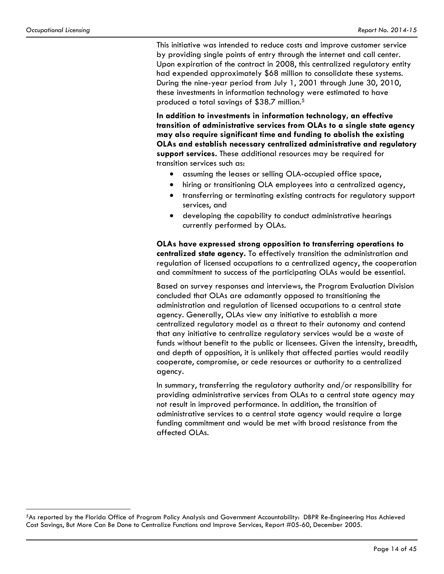<u>.</u>

This initiative was intended to reduce costs and improve customer service by providing single points of entry through the internet and call center. Upon expiration of the contract in 2008, this centralized regulatory entity had expended approximately \$68 million to consolidate these systems. During the nine-year period from July 1, 2001 through June 30, 2010, these investments in information technology were estimated to have produced a total savings of \$38.7 million.5

**In addition to investments in information technology, an effective transition of administrative services from OLAs to a single state agency may also require significant time and funding to abolish the existing OLAs and establish necessary centralized administrative and regulatory support services.** These additional resources may be required for transition services such as:

- assuming the leases or selling OLA-occupied office space,
- hiring or transitioning OLA employees into a centralized agency,
- transferring or terminating existing contracts for regulatory support services, and
- developing the capability to conduct administrative hearings currently performed by OLAs.

**OLAs have expressed strong opposition to transferring operations to centralized state agency.** To effectively transition the administration and regulation of licensed occupations to a centralized agency, the cooperation and commitment to success of the participating OLAs would be essential.

Based on survey responses and interviews, the Program Evaluation Division concluded that OLAs are adamantly opposed to transitioning the administration and regulation of licensed occupations to a central state agency. Generally, OLAs view any initiative to establish a more centralized regulatory model as a threat to their autonomy and contend that any initiative to centralize regulatory services would be a waste of funds without benefit to the public or licensees. Given the intensity, breadth, and depth of opposition, it is unlikely that affected parties would readily cooperate, compromise, or cede resources or authority to a centralized agency.

In summary, transferring the regulatory authority and/or responsibility for providing administrative services from OLAs to a central state agency may not result in improved performance. In addition, the transition of administrative services to a central state agency would require a large funding commitment and would be met with broad resistance from the affected OLAs.

<sup>5</sup>As reported by the Florida Office of Program Policy Analysis and Government Accountability: DBPR Re-Engineering Has Achieved Cost Savings, But More Can Be Done to Centralize Functions and Improve Services, Report #05-60, December 2005.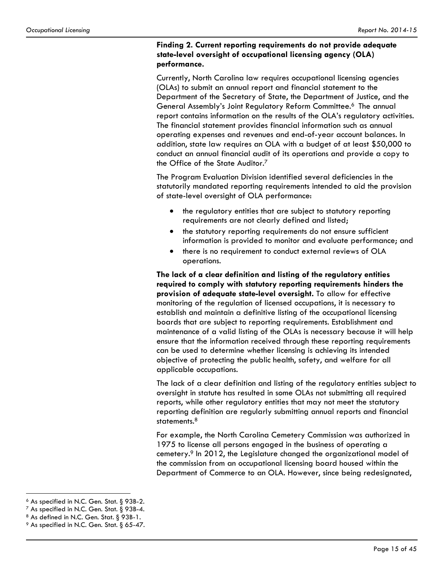#### **Finding 2. Current reporting requirements do not provide adequate state-level oversight of occupational licensing agency (OLA) performance.**

Currently, North Carolina law requires occupational licensing agencies (OLAs) to submit an annual report and financial statement to the Department of the Secretary of State, the Department of Justice, and the General Assembly's Joint Regulatory Reform Committee.6 The annual report contains information on the results of the OLA's regulatory activities. The financial statement provides financial information such as annual operating expenses and revenues and end-of-year account balances. In addition, state law requires an OLA with a budget of at least \$50,000 to conduct an annual financial audit of its operations and provide a copy to the Office of the State Auditor.<sup>7</sup>

The Program Evaluation Division identified several deficiencies in the statutorily mandated reporting requirements intended to aid the provision of state-level oversight of OLA performance:

- the regulatory entities that are subject to statutory reporting requirements are not clearly defined and listed;
- the statutory reporting requirements do not ensure sufficient information is provided to monitor and evaluate performance; and
- there is no requirement to conduct external reviews of OLA operations.

**The lack of a clear definition and listing of the regulatory entities required to comply with statutory reporting requirements hinders the provision of adequate state-level oversight.** To allow for effective monitoring of the regulation of licensed occupations, it is necessary to establish and maintain a definitive listing of the occupational licensing boards that are subject to reporting requirements. Establishment and maintenance of a valid listing of the OLAs is necessary because it will help ensure that the information received through these reporting requirements can be used to determine whether licensing is achieving its intended objective of protecting the public health, safety, and welfare for all applicable occupations.

The lack of a clear definition and listing of the regulatory entities subject to oversight in statute has resulted in some OLAs not submitting all required reports, while other regulatory entities that may not meet the statutory reporting definition are regularly submitting annual reports and financial statements.<sup>8</sup>

For example, the North Carolina Cemetery Commission was authorized in 1975 to license all persons engaged in the business of operating a cemetery.9 In 2012, the Legislature changed the organizational model of the commission from an occupational licensing board housed within the Department of Commerce to an OLA. However, since being redesignated,

 $\overline{a}$ 6 As specified in N.C. Gen. Stat. § 93B-2.

 $^7$  As specified in N.C. Gen. Stat. § 93B-4.

 $8$  As defined in N.C. Gen. Stat.  $\S$  93B-1.

 $9$  As specified in N.C. Gen. Stat. § 65-47.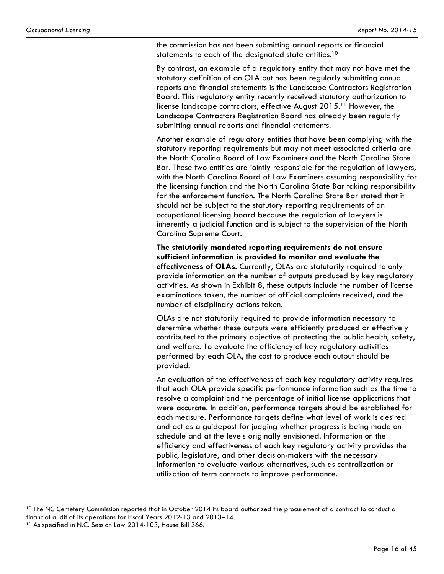the commission has not been submitting annual reports or financial statements to each of the designated state entities.<sup>10</sup>

By contrast, an example of a regulatory entity that may not have met the statutory definition of an OLA but has been regularly submitting annual reports and financial statements is the Landscape Contractors Registration Board. This regulatory entity recently received statutory authorization to license landscape contractors, effective August 2015.11 However, the Landscape Contractors Registration Board has already been regularly submitting annual reports and financial statements.

Another example of regulatory entities that have been complying with the statutory reporting requirements but may not meet associated criteria are the North Carolina Board of Law Examiners and the North Carolina State Bar. These two entities are jointly responsible for the regulation of lawyers, with the North Carolina Board of Law Examiners assuming responsibility for the licensing function and the North Carolina State Bar taking responsibility for the enforcement function. The North Carolina State Bar stated that it should not be subject to the statutory reporting requirements of an occupational licensing board because the regulation of lawyers is inherently a judicial function and is subject to the supervision of the North Carolina Supreme Court.

**The statutorily mandated reporting requirements do not ensure sufficient information is provided to monitor and evaluate the effectiveness of OLAs**. Currently, OLAs are statutorily required to only provide information on the number of outputs produced by key regulatory activities. As shown in Exhibit 8, these outputs include the number of license examinations taken, the number of official complaints received, and the number of disciplinary actions taken.

OLAs are not statutorily required to provide information necessary to determine whether these outputs were efficiently produced or effectively contributed to the primary objective of protecting the public health, safety, and welfare. To evaluate the efficiency of key regulatory activities performed by each OLA, the cost to produce each output should be provided.

An evaluation of the effectiveness of each key regulatory activity requires that each OLA provide specific performance information such as the time to resolve a complaint and the percentage of initial license applications that were accurate. In addition, performance targets should be established for each measure. Performance targets define what level of work is desired and act as a guidepost for judging whether progress is being made on schedule and at the levels originally envisioned. Information on the efficiency and effectiveness of each key regulatory activity provides the public, legislature, and other decision-makers with the necessary information to evaluate various alternatives, such as centralization or utilization of term contracts to improve performance.

 $\overline{a}$ 

 $10$  The NC Cemetery Commission reported that in October 2014 its board authorized the procurement of a contract to conduct a financial audit of its operations for Fiscal Years 2012-13 and 2013–14. 11 As specified in N.C. Session Law 2014-103, House Bill 366.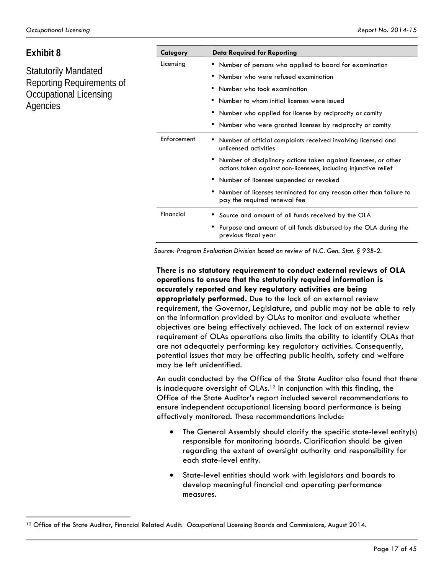<u>.</u>

| Exhibit 8                          | Category    | <b>Data Required for Reporting</b>                                                                                                   |  |  |
|------------------------------------|-------------|--------------------------------------------------------------------------------------------------------------------------------------|--|--|
|                                    | Licensing   | • Number of persons who applied to board for examination                                                                             |  |  |
| Statutorily Mandated               |             | Number who were refused examination<br>٠                                                                                             |  |  |
| Reporting Requirements of          |             | Number who took examination                                                                                                          |  |  |
| Occupational Licensing<br>Agencies |             | Number to whom initial licenses were issued                                                                                          |  |  |
|                                    |             | Number who applied for license by reciprocity or comity<br>٠                                                                         |  |  |
|                                    |             | Number who were granted licenses by reciprocity or comity<br>٠                                                                       |  |  |
|                                    | Enforcement | Number of official complaints received involving licensed and<br>٠<br>unlicensed activities                                          |  |  |
|                                    |             | Number of disciplinary actions taken against licensees, or other<br>actions taken against non-licensees, including injunctive relief |  |  |
|                                    |             | Number of licenses suspended or revoked<br>٠                                                                                         |  |  |
|                                    |             | Number of licenses terminated for any reason other than failure to<br>٠<br>pay the required renewal fee                              |  |  |
|                                    | Financial   | Source and amount of all funds received by the OLA                                                                                   |  |  |
|                                    |             | Purpose and amount of all funds disbursed by the OLA during the<br>٠                                                                 |  |  |

*Source: Program Evaluation Division based on review of N.C. Gen. Stat. § 93B-2.* 

previous fiscal year

**There is no statutory requirement to conduct external reviews of OLA operations to ensure that the statutorily required information is accurately reported and key regulatory activities are being appropriately performed.** Due to the lack of an external review requirement, the Governor, Legislature, and public may not be able to rely on the information provided by OLAs to monitor and evaluate whether objectives are being effectively achieved. The lack of an external review requirement of OLAs operations also limits the ability to identify OLAs that are not adequately performing key regulatory activities. Consequently, potential issues that may be affecting public health, safety and welfare may be left unidentified.

An audit conducted by the Office of the State Auditor also found that there is inadequate oversight of  $OLAs<sup>12</sup>$  In conjunction with this finding, the Office of the State Auditor's report included several recommendations to ensure independent occupational licensing board performance is being effectively monitored. These recommendations include:

- The General Assembly should clarify the specific state-level entity(s) responsible for monitoring boards. Clarification should be given regarding the extent of oversight authority and responsibility for each state-level entity.
- State-level entities should work with legislators and boards to develop meaningful financial and operating performance measures.

<sup>&</sup>lt;sup>12</sup> Office of the State Auditor, Financial Related Audit: Occupational Licensing Boards and Commissions, August 2014.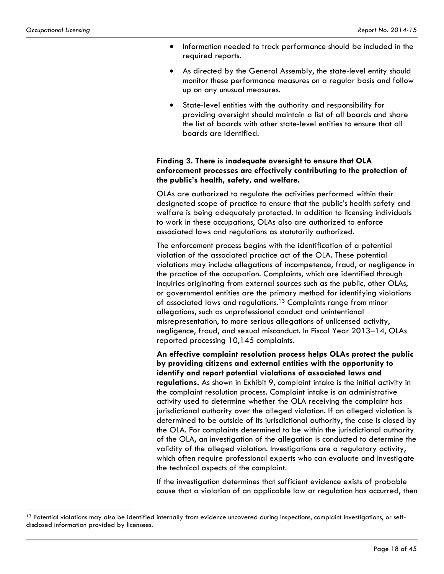$\overline{a}$ 

- Information needed to track performance should be included in the required reports.
- As directed by the General Assembly, the state-level entity should monitor these performance measures on a regular basis and follow up on any unusual measures.
- State-level entities with the authority and responsibility for providing oversight should maintain a list of all boards and share the list of boards with other state-level entities to ensure that all boards are identified.

### **Finding 3. There is inadequate oversight to ensure that OLA enforcement processes are effectively contributing to the protection of the public's health, safety, and welfare.**

OLAs are authorized to regulate the activities performed within their designated scope of practice to ensure that the public's health safety and welfare is being adequately protected. In addition to licensing individuals to work in these occupations, OLAs also are authorized to enforce associated laws and regulations as statutorily authorized.

The enforcement process begins with the identification of a potential violation of the associated practice act of the OLA. These potential violations may include allegations of incompetence, fraud, or negligence in the practice of the occupation. Complaints, which are identified through inquiries originating from external sources such as the public, other OLAs, or governmental entities are the primary method for identifying violations of associated laws and regulations.13 Complaints range from minor allegations, such as unprofessional conduct and unintentional misrepresentation, to more serious allegations of unlicensed activity, negligence, fraud, and sexual misconduct. In Fiscal Year 2013–14, OLAs reported processing 10,145 complaints.

**An effective complaint resolution process helps OLAs protect the public by providing citizens and external entities with the opportunity to identify and report potential violations of associated laws and regulations.** As shown in Exhibit 9, complaint intake is the initial activity in the complaint resolution process. Complaint intake is an administrative activity used to determine whether the OLA receiving the complaint has jurisdictional authority over the alleged violation. If an alleged violation is determined to be outside of its jurisdictional authority, the case is closed by the OLA. For complaints determined to be within the jurisdictional authority of the OLA, an investigation of the allegation is conducted to determine the validity of the alleged violation. Investigations are a regulatory activity, which often require professional experts who can evaluate and investigate the technical aspects of the complaint.

If the investigation determines that sufficient evidence exists of probable cause that a violation of an applicable law or regulation has occurred, then

 $13$  Potential violations may also be identified internally from evidence uncovered during inspections, complaint investigations, or selfdisclosed information provided by licensees.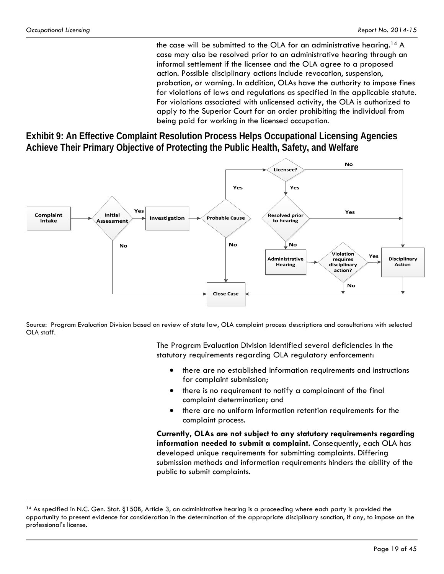$\overline{a}$ 

the case will be submitted to the OLA for an administrative hearing.14 A case may also be resolved prior to an administrative hearing through an informal settlement if the licensee and the OLA agree to a proposed action. Possible disciplinary actions include revocation, suspension, probation, or warning. In addition, OLAs have the authority to impose fines for violations of laws and regulations as specified in the applicable statute. For violations associated with unlicensed activity, the OLA is authorized to apply to the Superior Court for an order prohibiting the individual from being paid for working in the licensed occupation.

**Exhibit 9: An Effective Complaint Resolution Process Helps Occupational Licensing Agencies Achieve Their Primary Objective of Protecting the Public Health, Safety, and Welfare** 



Source: Program Evaluation Division based on review of state law, OLA complaint process descriptions and consultations with selected OLA staff.

> The Program Evaluation Division identified several deficiencies in the statutory requirements regarding OLA regulatory enforcement:

- there are no established information requirements and instructions for complaint submission;
- there is no requirement to notify a complainant of the final complaint determination; and
- there are no uniform information retention requirements for the complaint process.

**Currently, OLAs are not subject to any statutory requirements regarding information needed to submit a complaint.** Consequently, each OLA has developed unique requirements for submitting complaints. Differing submission methods and information requirements hinders the ability of the public to submit complaints.

 $14$  As specified in N.C. Gen. Stat. §150B, Article 3, an administrative hearing is a proceeding where each party is provided the opportunity to present evidence for consideration in the determination of the appropriate disciplinary sanction, if any, to impose on the professional's license.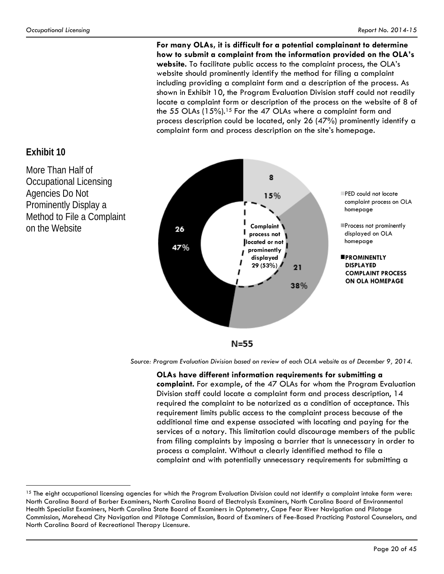**For many OLAs, it is difficult for a potential complainant to determine how to submit a complaint from the information provided on the OLA's website.** To facilitate public access to the complaint process, the OLA's website should prominently identify the method for filing a complaint including providing a complaint form and a description of the process. As shown in Exhibit 10, the Program Evaluation Division staff could not readily locate a complaint form or description of the process on the website of 8 of the 55 OLAs (15%).<sup>15</sup> For the 47 OLAs where a complaint form and process description could be located, only 26 (47%) prominently identify a complaint form and process description on the site's homepage.



**Exhibit 10** 

 $\overline{a}$ 

More Than Half of Occupational Licensing Agencies Do Not Prominently Display a Method to File a Complaint on the Website

*Source: Program Evaluation Division based on review of each OLA website as of December 9, 2014.* 

**OLAs have different information requirements for submitting a complaint.** For example, of the 47 OLAs for whom the Program Evaluation Division staff could locate a complaint form and process description, 14 required the complaint to be notarized as a condition of acceptance. This requirement limits public access to the complaint process because of the additional time and expense associated with locating and paying for the services of a notary. This limitation could discourage members of the public from filing complaints by imposing a barrier that is unnecessary in order to process a complaint. Without a clearly identified method to file a complaint and with potentially unnecessary requirements for submitting a

<sup>&</sup>lt;sup>15</sup> The eight occupational licensing agencies for which the Program Evaluation Division could not identify a complaint intake form were: North Carolina Board of Barber Examiners, North Carolina Board of Electrolysis Examiners, North Carolina Board of Environmental Health Specialist Examiners, North Carolina State Board of Examiners in Optometry, Cape Fear River Navigation and Pilotage Commission, Morehead City Navigation and Pilotage Commission, Board of Examiners of Fee-Based Practicing Pastoral Counselors, and North Carolina Board of Recreational Therapy Licensure.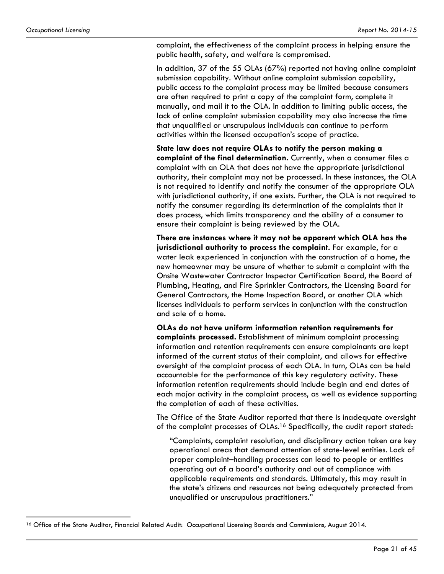<u>.</u>

complaint, the effectiveness of the complaint process in helping ensure the public health, safety, and welfare is compromised.

In addition, 37 of the 55 OLAs (67%) reported not having online complaint submission capability. Without online complaint submission capability, public access to the complaint process may be limited because consumers are often required to print a copy of the complaint form, complete it manually, and mail it to the OLA. In addition to limiting public access, the lack of online complaint submission capability may also increase the time that unqualified or unscrupulous individuals can continue to perform activities within the licensed occupation's scope of practice.

**State law does not require OLAs to notify the person making a complaint of the final determination.** Currently, when a consumer files a complaint with an OLA that does not have the appropriate jurisdictional authority, their complaint may not be processed. In these instances, the OLA is not required to identify and notify the consumer of the appropriate OLA with jurisdictional authority, if one exists. Further, the OLA is not required to notify the consumer regarding its determination of the complaints that it does process, which limits transparency and the ability of a consumer to ensure their complaint is being reviewed by the OLA.

**There are instances where it may not be apparent which OLA has the jurisdictional authority to process the complaint.** For example, for a water leak experienced in conjunction with the construction of a home, the new homeowner may be unsure of whether to submit a complaint with the Onsite Wastewater Contractor Inspector Certification Board, the Board of Plumbing, Heating, and Fire Sprinkler Contractors, the Licensing Board for General Contractors, the Home Inspection Board, or another OLA which licenses individuals to perform services in conjunction with the construction and sale of a home.

**OLAs do not have uniform information retention requirements for complaints processed.** Establishment of minimum complaint processing information and retention requirements can ensure complainants are kept informed of the current status of their complaint, and allows for effective oversight of the complaint process of each OLA. In turn, OLAs can be held accountable for the performance of this key regulatory activity. These information retention requirements should include begin and end dates of each major activity in the complaint process, as well as evidence supporting the completion of each of these activities.

The Office of the State Auditor reported that there is inadequate oversight of the complaint processes of OLAs.<sup>16</sup> Specifically, the audit report stated:

"Complaints, complaint resolution, and disciplinary action taken are key operational areas that demand attention of state-level entities. Lack of proper complaint–handling processes can lead to people or entities operating out of a board's authority and out of compliance with applicable requirements and standards. Ultimately, this may result in the state's citizens and resources not being adequately protected from unqualified or unscrupulous practitioners."

<sup>&</sup>lt;sup>16</sup> Office of the State Auditor, Financial Related Audit: Occupational Licensing Boards and Commissions, August 2014.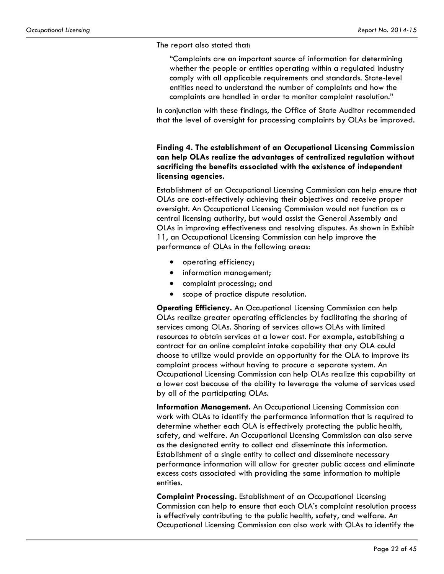The report also stated that:

"Complaints are an important source of information for determining whether the people or entities operating within a regulated industry comply with all applicable requirements and standards. State-level entities need to understand the number of complaints and how the complaints are handled in order to monitor complaint resolution."

In conjunction with these findings, the Office of State Auditor recommended that the level of oversight for processing complaints by OLAs be improved.

### **Finding 4. The establishment of an Occupational Licensing Commission can help OLAs realize the advantages of centralized regulation without sacrificing the benefits associated with the existence of independent licensing agencies.**

Establishment of an Occupational Licensing Commission can help ensure that OLAs are cost-effectively achieving their objectives and receive proper oversight. An Occupational Licensing Commission would not function as a central licensing authority, but would assist the General Assembly and OLAs in improving effectiveness and resolving disputes. As shown in Exhibit 11, an Occupational Licensing Commission can help improve the performance of OLAs in the following areas:

- operating efficiency;
- information management;
- complaint processing; and
- scope of practice dispute resolution.

**Operating Efficiency.** An Occupational Licensing Commission can help OLAs realize greater operating efficiencies by facilitating the sharing of services among OLAs. Sharing of services allows OLAs with limited resources to obtain services at a lower cost. For example, establishing a contract for an online complaint intake capability that any OLA could choose to utilize would provide an opportunity for the OLA to improve its complaint process without having to procure a separate system. An Occupational Licensing Commission can help OLAs realize this capability at a lower cost because of the ability to leverage the volume of services used by all of the participating OLAs.

**Information Management.** An Occupational Licensing Commission can work with OLAs to identify the performance information that is required to determine whether each OLA is effectively protecting the public health, safety, and welfare. An Occupational Licensing Commission can also serve as the designated entity to collect and disseminate this information. Establishment of a single entity to collect and disseminate necessary performance information will allow for greater public access and eliminate excess costs associated with providing the same information to multiple entities.

**Complaint Processing.** Establishment of an Occupational Licensing Commission can help to ensure that each OLA's complaint resolution process is effectively contributing to the public health, safety, and welfare. An Occupational Licensing Commission can also work with OLAs to identify the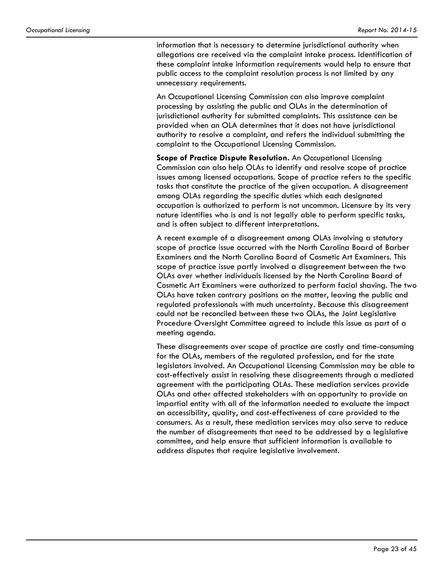information that is necessary to determine jurisdictional authority when allegations are received via the complaint intake process. Identification of these complaint intake information requirements would help to ensure that public access to the complaint resolution process is not limited by any unnecessary requirements.

An Occupational Licensing Commission can also improve complaint processing by assisting the public and OLAs in the determination of jurisdictional authority for submitted complaints. This assistance can be provided when an OLA determines that it does not have jurisdictional authority to resolve a complaint, and refers the individual submitting the complaint to the Occupational Licensing Commission.

**Scope of Practice Dispute Resolution.** An Occupational Licensing Commission can also help OLAs to identify and resolve scope of practice issues among licensed occupations. Scope of practice refers to the specific tasks that constitute the practice of the given occupation. A disagreement among OLAs regarding the specific duties which each designated occupation is authorized to perform is not uncommon. Licensure by its very nature identifies who is and is not legally able to perform specific tasks, and is often subject to different interpretations.

A recent example of a disagreement among OLAs involving a statutory scope of practice issue occurred with the North Carolina Board of Barber Examiners and the North Carolina Board of Cosmetic Art Examiners. This scope of practice issue partly involved a disagreement between the two OLAs over whether individuals licensed by the North Carolina Board of Cosmetic Art Examiners were authorized to perform facial shaving. The two OLAs have taken contrary positions on the matter, leaving the public and regulated professionals with much uncertainty. Because this disagreement could not be reconciled between these two OLAs, the Joint Legislative Procedure Oversight Committee agreed to include this issue as part of a meeting agenda.

These disagreements over scope of practice are costly and time-consuming for the OLAs, members of the regulated profession, and for the state legislators involved. An Occupational Licensing Commission may be able to cost-effectively assist in resolving these disagreements through a mediated agreement with the participating OLAs. These mediation services provide OLAs and other affected stakeholders with an opportunity to provide an impartial entity with all of the information needed to evaluate the impact on accessibility, quality, and cost-effectiveness of care provided to the consumers. As a result, these mediation services may also serve to reduce the number of disagreements that need to be addressed by a legislative committee, and help ensure that sufficient information is available to address disputes that require legislative involvement.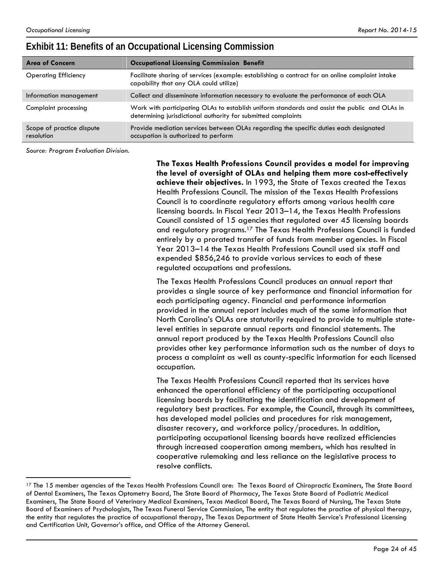## **Exhibit 11: Benefits of an Occupational Licensing Commission**

| Area of Concern                         | <b>Occupational Licensing Commission Benefit</b>                                                                                                               |
|-----------------------------------------|----------------------------------------------------------------------------------------------------------------------------------------------------------------|
| <b>Operating Efficiency</b>             | Facilitate sharing of services (example: establishing a contract for an online complaint intake<br>capability that any OLA could utilize)                      |
| Information management                  | Collect and disseminate information necessary to evaluate the performance of each OLA                                                                          |
| Complaint processing                    | Work with participating OLAs to establish uniform standards and assist the public and OLAs in<br>determining jurisdictional authority for submitted complaints |
| Scope of practice dispute<br>resolution | Provide mediation services between OLAs regarding the specific duties each designated<br>occupation is authorized to perform                                   |

*Source: Program Evaluation Division.*

 $\overline{a}$ 

**The Texas Health Professions Council provides a model for improving the level of oversight of OLAs and helping them more cost-effectively achieve their objectives.** In 1993, the State of Texas created the Texas Health Professions Council. The mission of the Texas Health Professions Council is to coordinate regulatory efforts among various health care licensing boards. In Fiscal Year 2013–14, the Texas Health Professions Council consisted of 15 agencies that regulated over 45 licensing boards and regulatory programs.17 The Texas Health Professions Council is funded entirely by a prorated transfer of funds from member agencies. In Fiscal Year 2013–14 the Texas Health Professions Council used six staff and expended \$856,246 to provide various services to each of these regulated occupations and professions.

The Texas Health Professions Council produces an annual report that provides a single source of key performance and financial information for each participating agency. Financial and performance information provided in the annual report includes much of the same information that North Carolina's OLAs are statutorily required to provide to multiple statelevel entities in separate annual reports and financial statements. The annual report produced by the Texas Health Professions Council also provides other key performance information such as the number of days to process a complaint as well as county-specific information for each licensed occupation.

The Texas Health Professions Council reported that its services have enhanced the operational efficiency of the participating occupational licensing boards by facilitating the identification and development of regulatory best practices. For example, the Council, through its committees, has developed model policies and procedures for risk management, disaster recovery, and workforce policy/procedures. In addition, participating occupational licensing boards have realized efficiencies through increased cooperation among members, which has resulted in cooperative rulemaking and less reliance on the legislative process to resolve conflicts.

<sup>&</sup>lt;sup>17</sup> The 15 member agencies of the Texas Health Professions Council are: The Texas Board of Chiropractic Examiners, The State Board of Dental Examiners, The Texas Optometry Board, The State Board of Pharmacy, The Texas State Board of Podiatric Medical Examiners, The State Board of Veterinary Medical Examiners, Texas Medical Board, The Texas Board of Nursing, The Texas State Board of Examiners of Psychologists, The Texas Funeral Service Commission, The entity that regulates the practice of physical therapy, the entity that regulates the practice of occupational therapy, The Texas Department of State Health Service's Professional Licensing and Certification Unit, Governor's office, and Office of the Attorney General.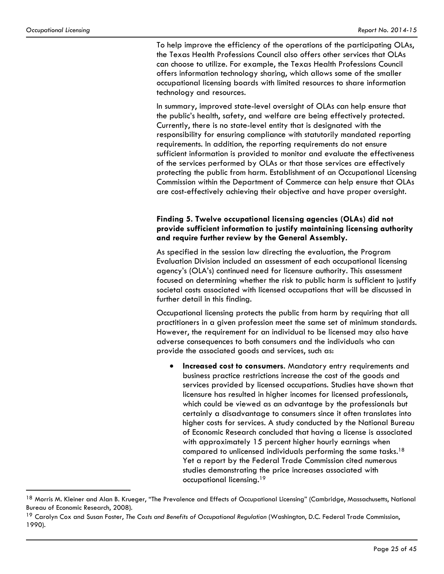1

To help improve the efficiency of the operations of the participating OLAs, the Texas Health Professions Council also offers other services that OLAs can choose to utilize. For example, the Texas Health Professions Council offers information technology sharing, which allows some of the smaller occupational licensing boards with limited resources to share information technology and resources.

In summary, improved state-level oversight of OLAs can help ensure that the public's health, safety, and welfare are being effectively protected. Currently, there is no state-level entity that is designated with the responsibility for ensuring compliance with statutorily mandated reporting requirements. In addition, the reporting requirements do not ensure sufficient information is provided to monitor and evaluate the effectiveness of the services performed by OLAs or that those services are effectively protecting the public from harm. Establishment of an Occupational Licensing Commission within the Department of Commerce can help ensure that OLAs are cost-effectively achieving their objective and have proper oversight.

#### **Finding 5. Twelve occupational licensing agencies (OLAs) did not provide sufficient information to justify maintaining licensing authority and require further review by the General Assembly.**

As specified in the session law directing the evaluation, the Program Evaluation Division included an assessment of each occupational licensing agency's (OLA's) continued need for licensure authority. This assessment focused on determining whether the risk to public harm is sufficient to justify societal costs associated with licensed occupations that will be discussed in further detail in this finding.

Occupational licensing protects the public from harm by requiring that all practitioners in a given profession meet the same set of minimum standards. However, the requirement for an individual to be licensed may also have adverse consequences to both consumers and the individuals who can provide the associated goods and services, such as:

 **Increased cost to consumers**. Mandatory entry requirements and business practice restrictions increase the cost of the goods and services provided by licensed occupations. Studies have shown that licensure has resulted in higher incomes for licensed professionals, which could be viewed as an advantage by the professionals but certainly a disadvantage to consumers since it often translates into higher costs for services. A study conducted by the National Bureau of Economic Research concluded that having a license is associated with approximately 15 percent higher hourly earnings when compared to unlicensed individuals performing the same tasks.18 Yet a report by the Federal Trade Commission cited numerous studies demonstrating the price increases associated with occupational licensing.19

<sup>&</sup>lt;sup>18</sup> Morris M. Kleiner and Alan B. Krueger, "The Prevalence and Effects of Occupational Licensing" (Cambridge, Massachusetts, National Bureau of Economic Research, 2008).

<sup>&</sup>lt;sup>19</sup> Carolyn Cox and Susan Foster, *The Costs and Benefits of Occupational Regulation (Washington, D.C. Federal Trade Commission,* 1990).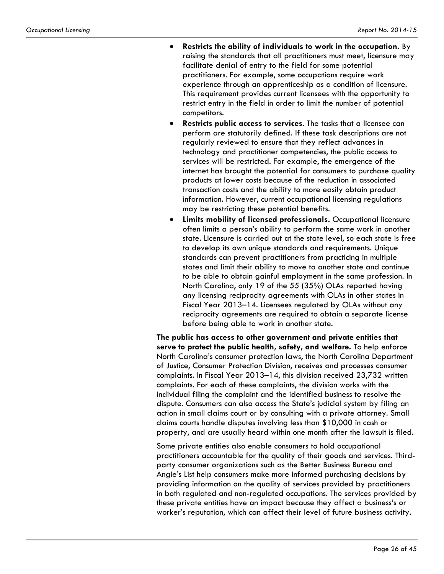- **Restricts the ability of individuals to work in the occupation.** By raising the standards that all practitioners must meet, licensure may facilitate denial of entry to the field for some potential practitioners. For example, some occupations require work experience through an apprenticeship as a condition of licensure. This requirement provides current licensees with the opportunity to restrict entry in the field in order to limit the number of potential competitors.
- **Restricts public access to services**. The tasks that a licensee can perform are statutorily defined. If these task descriptions are not regularly reviewed to ensure that they reflect advances in technology and practitioner competencies, the public access to services will be restricted. For example, the emergence of the internet has brought the potential for consumers to purchase quality products at lower costs because of the reduction in associated transaction costs and the ability to more easily obtain product information. However, current occupational licensing regulations may be restricting these potential benefits.
- **Limits mobility of licensed professionals.** Occupational licensure often limits a person's ability to perform the same work in another state. Licensure is carried out at the state level, so each state is free to develop its own unique standards and requirements. Unique standards can prevent practitioners from practicing in multiple states and limit their ability to move to another state and continue to be able to obtain gainful employment in the same profession. In North Carolina, only 19 of the 55 (35%) OLAs reported having any licensing reciprocity agreements with OLAs in other states in Fiscal Year 2013–14. Licensees regulated by OLAs without any reciprocity agreements are required to obtain a separate license before being able to work in another state.

**The public has access to other government and private entities that serve to protect the public health, safety, and welfare.** To help enforce North Carolina's consumer protection laws, the North Carolina Department of Justice, Consumer Protection Division, receives and processes consumer complaints. In Fiscal Year 2013–14, this division received 23,732 written complaints. For each of these complaints, the division works with the individual filing the complaint and the identified business to resolve the dispute. Consumers can also access the State's judicial system by filing an action in small claims court or by consulting with a private attorney. Small claims courts handle disputes involving less than \$10,000 in cash or property, and are usually heard within one month after the lawsuit is filed.

Some private entities also enable consumers to hold occupational practitioners accountable for the quality of their goods and services. Thirdparty consumer organizations such as the Better Business Bureau and Angie's List help consumers make more informed purchasing decisions by providing information on the quality of services provided by practitioners in both regulated and non-regulated occupations. The services provided by these private entities have an impact because they affect a business's or worker's reputation, which can affect their level of future business activity.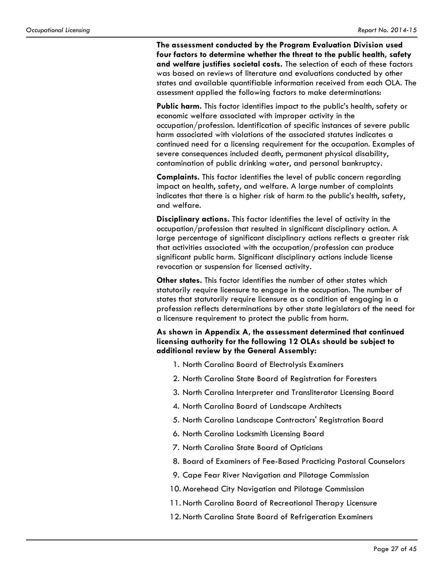**The assessment conducted by the Program Evaluation Division used four factors to determine whether the threat to the public health, safety and welfare justifies societal costs.** The selection of each of these factors was based on reviews of literature and evaluations conducted by other states and available quantifiable information received from each OLA. The assessment applied the following factors to make determinations:

**Public harm.** This factor identifies impact to the public's health, safety or economic welfare associated with improper activity in the occupation/profession. Identification of specific instances of severe public harm associated with violations of the associated statutes indicates a continued need for a licensing requirement for the occupation. Examples of severe consequences included death, permanent physical disability, contamination of public drinking water, and personal bankruptcy.

**Complaints.** This factor identifies the level of public concern regarding impact on health, safety, and welfare. A large number of complaints indicates that there is a higher risk of harm to the public's health, safety, and welfare.

**Disciplinary actions.** This factor identifies the level of activity in the occupation/profession that resulted in significant disciplinary action. A large percentage of significant disciplinary actions reflects a greater risk that activities associated with the occupation/profession can produce significant public harm. Significant disciplinary actions include license revocation or suspension for licensed activity.

**Other states.** This factor identifies the number of other states which statutorily require licensure to engage in the occupation. The number of states that statutorily require licensure as a condition of engaging in a profession reflects determinations by other state legislators of the need for a licensure requirement to protect the public from harm.

#### **As shown in Appendix A, the assessment determined that continued licensing authority for the following 12 OLAs should be subject to additional review by the General Assembly:**

- 1. North Carolina Board of Electrolysis Examiners
- 2. North Carolina State Board of Registration for Foresters
- 3. North Carolina Interpreter and Transliterator Licensing Board
- 4. North Carolina Board of Landscape Architects
- 5. North Carolina Landscape Contractors' Registration Board
- 6. North Carolina Locksmith Licensing Board
- 7. North Carolina State Board of Opticians
- 8. Board of Examiners of Fee-Based Practicing Pastoral Counselors
- 9. Cape Fear River Navigation and Pilotage Commission
- 10. Morehead City Navigation and Pilotage Commission
- 11. North Carolina Board of Recreational Therapy Licensure
- 12. North Carolina State Board of Refrigeration Examiners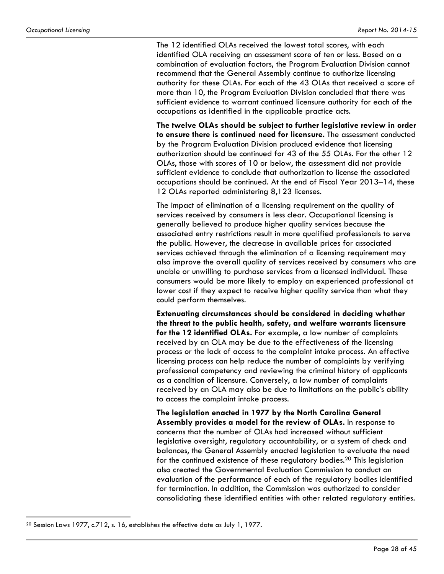The 12 identified OLAs received the lowest total scores, with each identified OLA receiving an assessment score of ten or less. Based on a combination of evaluation factors, the Program Evaluation Division cannot recommend that the General Assembly continue to authorize licensing authority for these OLAs. For each of the 43 OLAs that received a score of more than 10, the Program Evaluation Division concluded that there was sufficient evidence to warrant continued licensure authority for each of the occupations as identified in the applicable practice acts.

**The twelve OLAs should be subject to further legislative review in order to ensure there is continued need for licensure.** The assessment conducted by the Program Evaluation Division produced evidence that licensing authorization should be continued for 43 of the 55 OLAs. For the other 12 OLAs, those with scores of 10 or below, the assessment did not provide sufficient evidence to conclude that authorization to license the associated occupations should be continued. At the end of Fiscal Year 2013–14, these 12 OLAs reported administering 8,123 licenses.

The impact of elimination of a licensing requirement on the quality of services received by consumers is less clear. Occupational licensing is generally believed to produce higher quality services because the associated entry restrictions result in more qualified professionals to serve the public. However, the decrease in available prices for associated services achieved through the elimination of a licensing requirement may also improve the overall quality of services received by consumers who are unable or unwilling to purchase services from a licensed individual. These consumers would be more likely to employ an experienced professional at lower cost if they expect to receive higher quality service than what they could perform themselves.

**Extenuating circumstances should be considered in deciding whether the threat to the public health, safety, and welfare warrants licensure for the 12 identified OLAs.** For example, a low number of complaints received by an OLA may be due to the effectiveness of the licensing process or the lack of access to the complaint intake process. An effective licensing process can help reduce the number of complaints by verifying professional competency and reviewing the criminal history of applicants as a condition of licensure. Conversely, a low number of complaints received by an OLA may also be due to limitations on the public's ability to access the complaint intake process.

**The legislation enacted in 1977 by the North Carolina General Assembly provides a model for the review of OLAs.** In response to concerns that the number of OLAs had increased without sufficient legislative oversight, regulatory accountability, or a system of check and balances, the General Assembly enacted legislation to evaluate the need for the continued existence of these regulatory bodies.<sup>20</sup> This legislation also created the Governmental Evaluation Commission to conduct an evaluation of the performance of each of the regulatory bodies identified for termination. In addition, the Commission was authorized to consider consolidating these identified entities with other related regulatory entities.

 $\overline{a}$ 

<sup>&</sup>lt;sup>20</sup> Session Laws 1977, c.712, s. 16, establishes the effective date as July 1, 1977.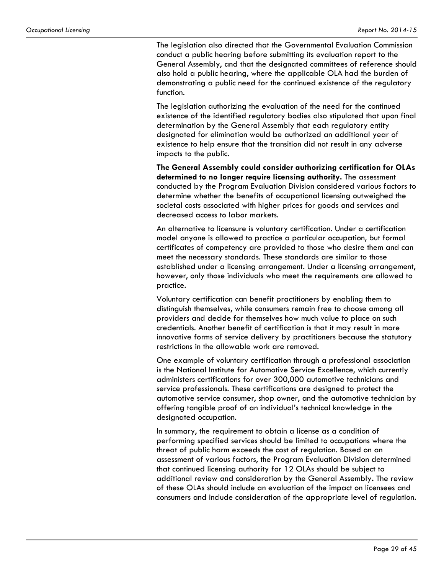The legislation also directed that the Governmental Evaluation Commission conduct a public hearing before submitting its evaluation report to the General Assembly, and that the designated committees of reference should also hold a public hearing, where the applicable OLA had the burden of demonstrating a public need for the continued existence of the regulatory function.

The legislation authorizing the evaluation of the need for the continued existence of the identified regulatory bodies also stipulated that upon final determination by the General Assembly that each regulatory entity designated for elimination would be authorized an additional year of existence to help ensure that the transition did not result in any adverse impacts to the public.

**The General Assembly could consider authorizing certification for OLAs determined to no longer require licensing authority.** The assessment conducted by the Program Evaluation Division considered various factors to determine whether the benefits of occupational licensing outweighed the societal costs associated with higher prices for goods and services and decreased access to labor markets.

An alternative to licensure is voluntary certification. Under a certification model anyone is allowed to practice a particular occupation, but formal certificates of competency are provided to those who desire them and can meet the necessary standards. These standards are similar to those established under a licensing arrangement. Under a licensing arrangement, however, only those individuals who meet the requirements are allowed to practice.

Voluntary certification can benefit practitioners by enabling them to distinguish themselves, while consumers remain free to choose among all providers and decide for themselves how much value to place on such credentials. Another benefit of certification is that it may result in more innovative forms of service delivery by practitioners because the statutory restrictions in the allowable work are removed.

One example of voluntary certification through a professional association is the National Institute for Automotive Service Excellence, which currently administers certifications for over 300,000 automotive technicians and service professionals. These certifications are designed to protect the automotive service consumer, shop owner, and the automotive technician by offering tangible proof of an individual's technical knowledge in the designated occupation.

In summary, the requirement to obtain a license as a condition of performing specified services should be limited to occupations where the threat of public harm exceeds the cost of regulation. Based on an assessment of various factors, the Program Evaluation Division determined that continued licensing authority for 12 OLAs should be subject to additional review and consideration by the General Assembly**.** The review of these OLAs should include an evaluation of the impact on licensees and consumers and include consideration of the appropriate level of regulation.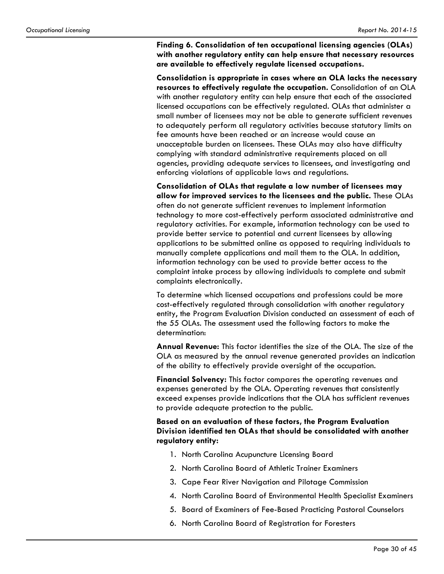**Finding 6. Consolidation of ten occupational licensing agencies (OLAs) with another regulatory entity can help ensure that necessary resources are available to effectively regulate licensed occupations.** 

**Consolidation is appropriate in cases where an OLA lacks the necessary resources to effectively regulate the occupation.** Consolidation of an OLA with another regulatory entity can help ensure that each of the associated licensed occupations can be effectively regulated. OLAs that administer a small number of licensees may not be able to generate sufficient revenues to adequately perform all regulatory activities because statutory limits on fee amounts have been reached or an increase would cause an unacceptable burden on licensees. These OLAs may also have difficulty complying with standard administrative requirements placed on all agencies, providing adequate services to licensees, and investigating and enforcing violations of applicable laws and regulations.

**Consolidation of OLAs that regulate a low number of licensees may allow for improved services to the licensees and the public.** These OLAs often do not generate sufficient revenues to implement information technology to more cost-effectively perform associated administrative and regulatory activities. For example, information technology can be used to provide better service to potential and current licensees by allowing applications to be submitted online as opposed to requiring individuals to manually complete applications and mail them to the OLA. In addition, information technology can be used to provide better access to the complaint intake process by allowing individuals to complete and submit complaints electronically.

To determine which licensed occupations and professions could be more cost-effectively regulated through consolidation with another regulatory entity, the Program Evaluation Division conducted an assessment of each of the 55 OLAs. The assessment used the following factors to make the determination:

**Annual Revenue:** This factor identifies the size of the OLA. The size of the OLA as measured by the annual revenue generated provides an indication of the ability to effectively provide oversight of the occupation.

**Financial Solvency:** This factor compares the operating revenues and expenses generated by the OLA. Operating revenues that consistently exceed expenses provide indications that the OLA has sufficient revenues to provide adequate protection to the public.

**Based on an evaluation of these factors, the Program Evaluation Division identified ten OLAs that should be consolidated with another regulatory entity:** 

- 1. North Carolina Acupuncture Licensing Board
- 2. North Carolina Board of Athletic Trainer Examiners
- 3. Cape Fear River Navigation and Pilotage Commission
- 4. North Carolina Board of Environmental Health Specialist Examiners
- 5. Board of Examiners of Fee-Based Practicing Pastoral Counselors
- 6. North Carolina Board of Registration for Foresters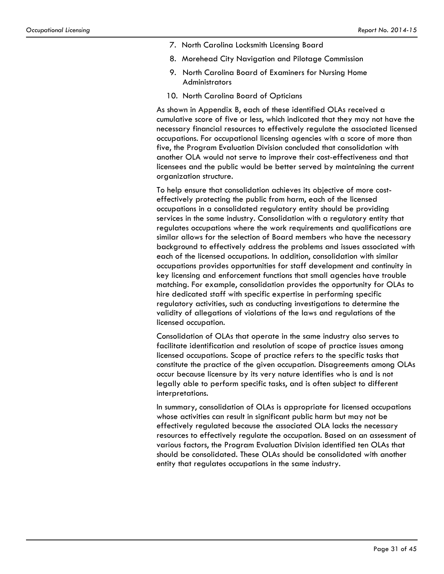- 7. North Carolina Locksmith Licensing Board
- 8. Morehead City Navigation and Pilotage Commission
- 9. North Carolina Board of Examiners for Nursing Home **Administrators**
- 10. North Carolina Board of Opticians

As shown in Appendix B, each of these identified OLAs received a cumulative score of five or less, which indicated that they may not have the necessary financial resources to effectively regulate the associated licensed occupations. For occupational licensing agencies with a score of more than five, the Program Evaluation Division concluded that consolidation with another OLA would not serve to improve their cost-effectiveness and that licensees and the public would be better served by maintaining the current organization structure.

To help ensure that consolidation achieves its objective of more costeffectively protecting the public from harm, each of the licensed occupations in a consolidated regulatory entity should be providing services in the same industry. Consolidation with a regulatory entity that regulates occupations where the work requirements and qualifications are similar allows for the selection of Board members who have the necessary background to effectively address the problems and issues associated with each of the licensed occupations. In addition, consolidation with similar occupations provides opportunities for staff development and continuity in key licensing and enforcement functions that small agencies have trouble matching. For example, consolidation provides the opportunity for OLAs to hire dedicated staff with specific expertise in performing specific regulatory activities, such as conducting investigations to determine the validity of allegations of violations of the laws and regulations of the licensed occupation.

Consolidation of OLAs that operate in the same industry also serves to facilitate identification and resolution of scope of practice issues among licensed occupations. Scope of practice refers to the specific tasks that constitute the practice of the given occupation. Disagreements among OLAs occur because licensure by its very nature identifies who is and is not legally able to perform specific tasks, and is often subject to different interpretations.

In summary, consolidation of OLAs is appropriate for licensed occupations whose activities can result in significant public harm but may not be effectively regulated because the associated OLA lacks the necessary resources to effectively regulate the occupation. Based on an assessment of various factors, the Program Evaluation Division identified ten OLAs that should be consolidated. These OLAs should be consolidated with another entity that regulates occupations in the same industry.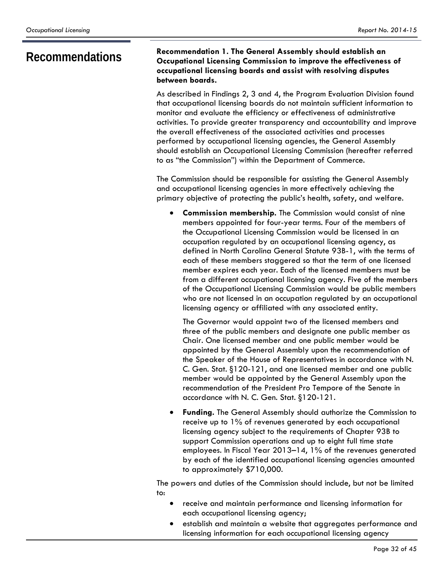### **Recommendations Recommendation 1. The General Assembly should establish an Occupational Licensing Commission to improve the effectiveness of occupational licensing boards and assist with resolving disputes between boards.**

As described in Findings 2, 3 and 4, the Program Evaluation Division found that occupational licensing boards do not maintain sufficient information to monitor and evaluate the efficiency or effectiveness of administrative activities. To provide greater transparency and accountability and improve the overall effectiveness of the associated activities and processes performed by occupational licensing agencies, the General Assembly should establish an Occupational Licensing Commission (hereafter referred to as "the Commission") within the Department of Commerce.

The Commission should be responsible for assisting the General Assembly and occupational licensing agencies in more effectively achieving the primary objective of protecting the public's health, safety, and welfare.

 **Commission membership.** The Commission would consist of nine members appointed for four-year terms. Four of the members of the Occupational Licensing Commission would be licensed in an occupation regulated by an occupational licensing agency, as defined in North Carolina General Statute 93B-1, with the terms of each of these members staggered so that the term of one licensed member expires each year. Each of the licensed members must be from a different occupational licensing agency. Five of the members of the Occupational Licensing Commission would be public members who are not licensed in an occupation regulated by an occupational licensing agency or affiliated with any associated entity.

The Governor would appoint two of the licensed members and three of the public members and designate one public member as Chair. One licensed member and one public member would be appointed by the General Assembly upon the recommendation of the Speaker of the House of Representatives in accordance with N. C. Gen. Stat. §120-121, and one licensed member and one public member would be appointed by the General Assembly upon the recommendation of the President Pro Tempore of the Senate in accordance with N. C. Gen. Stat. §120-121.

 **Funding.** The General Assembly should authorize the Commission to receive up to 1% of revenues generated by each occupational licensing agency subject to the requirements of Chapter 93B to support Commission operations and up to eight full time state employees. In Fiscal Year 2013–14, 1% of the revenues generated by each of the identified occupational licensing agencies amounted to approximately \$710,000.

The powers and duties of the Commission should include, but not be limited to:

- receive and maintain performance and licensing information for each occupational licensing agency;
- establish and maintain a website that aggregates performance and licensing information for each occupational licensing agency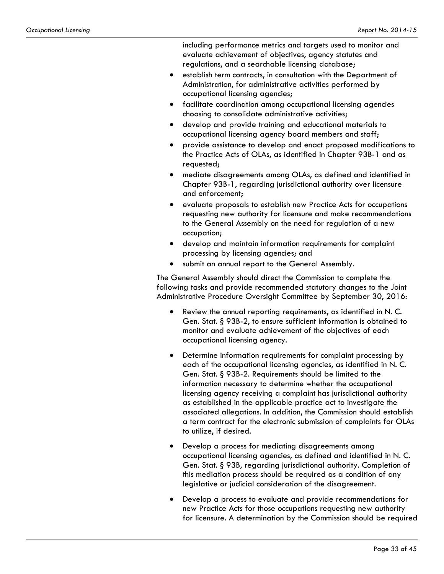including performance metrics and targets used to monitor and evaluate achievement of objectives, agency statutes and regulations, and a searchable licensing database;

- establish term contracts, in consultation with the Department of Administration, for administrative activities performed by occupational licensing agencies;
- facilitate coordination among occupational licensing agencies choosing to consolidate administrative activities;
- develop and provide training and educational materials to occupational licensing agency board members and staff;
- provide assistance to develop and enact proposed modifications to the Practice Acts of OLAs, as identified in Chapter 93B-1 and as requested;
- mediate disagreements among OLAs, as defined and identified in Chapter 93B-1, regarding jurisdictional authority over licensure and enforcement;
- evaluate proposals to establish new Practice Acts for occupations requesting new authority for licensure and make recommendations to the General Assembly on the need for regulation of a new occupation;
- develop and maintain information requirements for complaint processing by licensing agencies; and
- submit an annual report to the General Assembly.

The General Assembly should direct the Commission to complete the following tasks and provide recommended statutory changes to the Joint Administrative Procedure Oversight Committee by September 30, 2016:

- Review the annual reporting requirements, as identified in N. C. Gen. Stat. § 93B-2, to ensure sufficient information is obtained to monitor and evaluate achievement of the objectives of each occupational licensing agency.
- Determine information requirements for complaint processing by each of the occupational licensing agencies, as identified in N. C. Gen. Stat. § 93B-2. Requirements should be limited to the information necessary to determine whether the occupational licensing agency receiving a complaint has jurisdictional authority as established in the applicable practice act to investigate the associated allegations. In addition, the Commission should establish a term contract for the electronic submission of complaints for OLAs to utilize, if desired.
- Develop a process for mediating disagreements among occupational licensing agencies, as defined and identified in N. C. Gen. Stat. § 93B, regarding jurisdictional authority. Completion of this mediation process should be required as a condition of any legislative or judicial consideration of the disagreement.
- Develop a process to evaluate and provide recommendations for new Practice Acts for those occupations requesting new authority for licensure. A determination by the Commission should be required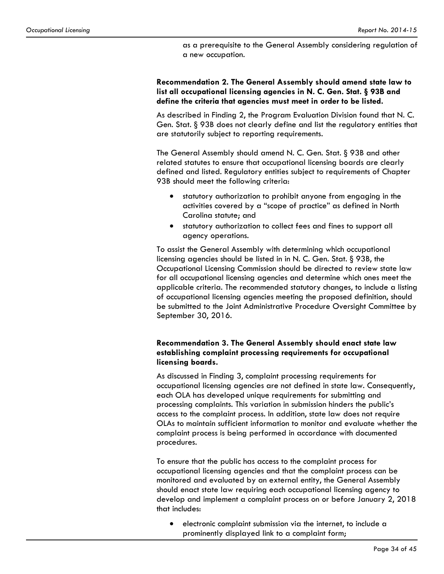as a prerequisite to the General Assembly considering regulation of a new occupation.

**Recommendation 2. The General Assembly should amend state law to list all occupational licensing agencies in N. C. Gen. Stat. § 93B and define the criteria that agencies must meet in order to be listed.** 

As described in Finding 2, the Program Evaluation Division found that N. C. Gen. Stat. § 93B does not clearly define and list the regulatory entities that are statutorily subject to reporting requirements.

The General Assembly should amend N. C. Gen. Stat. § 93B and other related statutes to ensure that occupational licensing boards are clearly defined and listed. Regulatory entities subject to requirements of Chapter 93B should meet the following criteria:

- statutory authorization to prohibit anyone from engaging in the activities covered by a "scope of practice" as defined in North Carolina statute; and
- statutory authorization to collect fees and fines to support all agency operations.

To assist the General Assembly with determining which occupational licensing agencies should be listed in in N. C. Gen. Stat. § 93B, the Occupational Licensing Commission should be directed to review state law for all occupational licensing agencies and determine which ones meet the applicable criteria. The recommended statutory changes, to include a listing of occupational licensing agencies meeting the proposed definition, should be submitted to the Joint Administrative Procedure Oversight Committee by September 30, 2016.

#### **Recommendation 3. The General Assembly should enact state law establishing complaint processing requirements for occupational licensing boards.**

As discussed in Finding 3, complaint processing requirements for occupational licensing agencies are not defined in state law. Consequently, each OLA has developed unique requirements for submitting and processing complaints. This variation in submission hinders the public's access to the complaint process. In addition, state law does not require OLAs to maintain sufficient information to monitor and evaluate whether the complaint process is being performed in accordance with documented procedures.

To ensure that the public has access to the complaint process for occupational licensing agencies and that the complaint process can be monitored and evaluated by an external entity, the General Assembly should enact state law requiring each occupational licensing agency to develop and implement a complaint process on or before January 2, 2018 that includes:

 electronic complaint submission via the internet, to include a prominently displayed link to a complaint form;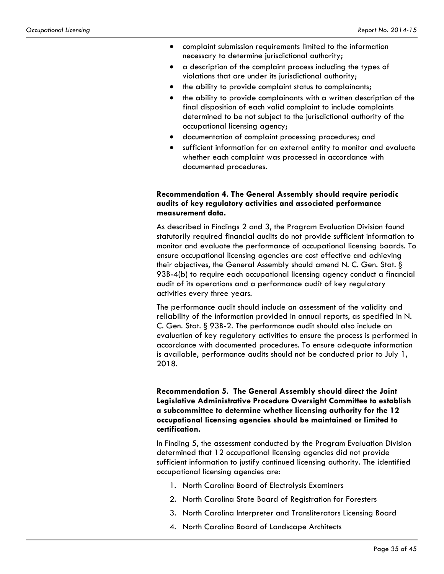- complaint submission requirements limited to the information necessary to determine jurisdictional authority;
- a description of the complaint process including the types of violations that are under its jurisdictional authority;
- the ability to provide complaint status to complainants;
- the ability to provide complainants with a written description of the final disposition of each valid complaint to include complaints determined to be not subject to the jurisdictional authority of the occupational licensing agency;
- documentation of complaint processing procedures; and
- sufficient information for an external entity to monitor and evaluate whether each complaint was processed in accordance with documented procedures.

#### **Recommendation 4. The General Assembly should require periodic audits of key regulatory activities and associated performance measurement data.**

As described in Findings 2 and 3, the Program Evaluation Division found statutorily required financial audits do not provide sufficient information to monitor and evaluate the performance of occupational licensing boards. To ensure occupational licensing agencies are cost effective and achieving their objectives, the General Assembly should amend N. C. Gen. Stat. § 93B-4(b) to require each occupational licensing agency conduct a financial audit of its operations and a performance audit of key regulatory activities every three years.

The performance audit should include an assessment of the validity and reliability of the information provided in annual reports, as specified in N. C. Gen. Stat. § 93B-2. The performance audit should also include an evaluation of key regulatory activities to ensure the process is performed in accordance with documented procedures. To ensure adequate information is available, performance audits should not be conducted prior to July 1, 2018.

### **Recommendation 5. The General Assembly should direct the Joint Legislative Administrative Procedure Oversight Committee to establish a subcommittee to determine whether licensing authority for the 12 occupational licensing agencies should be maintained or limited to certification.**

In Finding 5, the assessment conducted by the Program Evaluation Division determined that 12 occupational licensing agencies did not provide sufficient information to justify continued licensing authority. The identified occupational licensing agencies are:

- 1. North Carolina Board of Electrolysis Examiners
- 2. North Carolina State Board of Registration for Foresters
- 3. North Carolina Interpreter and Transliterators Licensing Board
- 4. North Carolina Board of Landscape Architects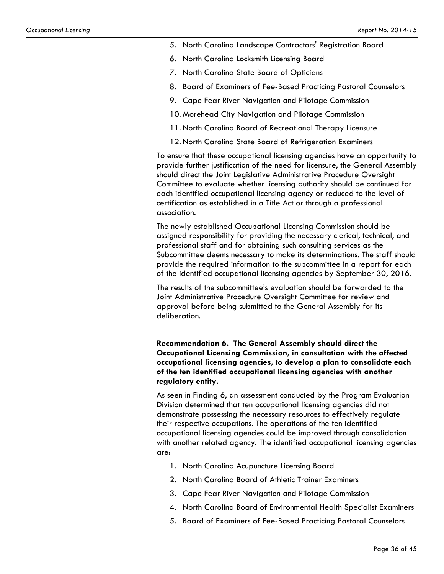- 5. North Carolina Landscape Contractors' Registration Board
- 6. North Carolina Locksmith Licensing Board
- 7. North Carolina State Board of Opticians
- 8. Board of Examiners of Fee-Based Practicing Pastoral Counselors
- 9. Cape Fear River Navigation and Pilotage Commission
- 10. Morehead City Navigation and Pilotage Commission
- 11. North Carolina Board of Recreational Therapy Licensure
- 12. North Carolina State Board of Refrigeration Examiners

To ensure that these occupational licensing agencies have an opportunity to provide further justification of the need for licensure, the General Assembly should direct the Joint Legislative Administrative Procedure Oversight Committee to evaluate whether licensing authority should be continued for each identified occupational licensing agency or reduced to the level of certification as established in a Title Act or through a professional association.

The newly established Occupational Licensing Commission should be assigned responsibility for providing the necessary clerical, technical, and professional staff and for obtaining such consulting services as the Subcommittee deems necessary to make its determinations. The staff should provide the required information to the subcommittee in a report for each of the identified occupational licensing agencies by September 30, 2016.

The results of the subcommittee's evaluation should be forwarded to the Joint Administrative Procedure Oversight Committee for review and approval before being submitted to the General Assembly for its deliberation.

### **Recommendation 6. The General Assembly should direct the Occupational Licensing Commission, in consultation with the affected occupational licensing agencies, to develop a plan to consolidate each of the ten identified occupational licensing agencies with another regulatory entity.**

As seen in Finding 6, an assessment conducted by the Program Evaluation Division determined that ten occupational licensing agencies did not demonstrate possessing the necessary resources to effectively regulate their respective occupations. The operations of the ten identified occupational licensing agencies could be improved through consolidation with another related agency. The identified occupational licensing agencies are:

- 1. North Carolina Acupuncture Licensing Board
- 2. North Carolina Board of Athletic Trainer Examiners
- 3. Cape Fear River Navigation and Pilotage Commission
- 4. North Carolina Board of Environmental Health Specialist Examiners
- 5. Board of Examiners of Fee-Based Practicing Pastoral Counselors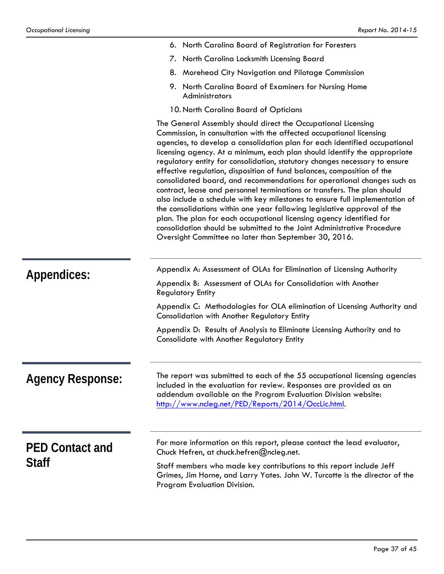|                         | 6. North Carolina Board of Registration for Foresters                                                                                                                                                                                                                                                                                                                                                                                                                                                                                                                                                                                                                                                                                                                                                                                                                                                                                                                                   |  |  |  |
|-------------------------|-----------------------------------------------------------------------------------------------------------------------------------------------------------------------------------------------------------------------------------------------------------------------------------------------------------------------------------------------------------------------------------------------------------------------------------------------------------------------------------------------------------------------------------------------------------------------------------------------------------------------------------------------------------------------------------------------------------------------------------------------------------------------------------------------------------------------------------------------------------------------------------------------------------------------------------------------------------------------------------------|--|--|--|
|                         | 7. North Carolina Locksmith Licensing Board                                                                                                                                                                                                                                                                                                                                                                                                                                                                                                                                                                                                                                                                                                                                                                                                                                                                                                                                             |  |  |  |
|                         | 8. Morehead City Navigation and Pilotage Commission                                                                                                                                                                                                                                                                                                                                                                                                                                                                                                                                                                                                                                                                                                                                                                                                                                                                                                                                     |  |  |  |
|                         | North Carolina Board of Examiners for Nursing Home<br>9.<br>Administrators                                                                                                                                                                                                                                                                                                                                                                                                                                                                                                                                                                                                                                                                                                                                                                                                                                                                                                              |  |  |  |
|                         | 10. North Carolina Board of Opticians                                                                                                                                                                                                                                                                                                                                                                                                                                                                                                                                                                                                                                                                                                                                                                                                                                                                                                                                                   |  |  |  |
|                         | The General Assembly should direct the Occupational Licensing<br>Commission, in consultation with the affected occupational licensing<br>agencies, to develop a consolidation plan for each identified occupational<br>licensing agency. At a minimum, each plan should identify the appropriate<br>regulatory entity for consolidation, statutory changes necessary to ensure<br>effective regulation, disposition of fund balances, composition of the<br>consolidated board, and recommendations for operational changes such as<br>contract, lease and personnel terminations or transfers. The plan should<br>also include a schedule with key milestones to ensure full implementation of<br>the consolidations within one year following legislative approval of the<br>plan. The plan for each occupational licensing agency identified for<br>consolidation should be submitted to the Joint Administrative Procedure<br>Oversight Committee no later than September 30, 2016. |  |  |  |
|                         | Appendix A: Assessment of OLAs for Elimination of Licensing Authority                                                                                                                                                                                                                                                                                                                                                                                                                                                                                                                                                                                                                                                                                                                                                                                                                                                                                                                   |  |  |  |
| Appendices:             | Appendix B: Assessment of OLAs for Consolidation with Another<br><b>Regulatory Entity</b>                                                                                                                                                                                                                                                                                                                                                                                                                                                                                                                                                                                                                                                                                                                                                                                                                                                                                               |  |  |  |
|                         | Appendix C: Methodologies for OLA elimination of Licensing Authority and<br>Consolidation with Another Regulatory Entity                                                                                                                                                                                                                                                                                                                                                                                                                                                                                                                                                                                                                                                                                                                                                                                                                                                                |  |  |  |
|                         | Appendix D: Results of Analysis to Eliminate Licensing Authority and to<br>Consolidate with Another Regulatory Entity                                                                                                                                                                                                                                                                                                                                                                                                                                                                                                                                                                                                                                                                                                                                                                                                                                                                   |  |  |  |
| <b>Agency Response:</b> | The report was submitted to each of the 55 occupational licensing agencies<br>included in the evaluation for review. Responses are provided as an<br>addendum available on the Program Evaluation Division website:<br>http://www.ncleg.net/PED/Reports/2014/OccLic.html.                                                                                                                                                                                                                                                                                                                                                                                                                                                                                                                                                                                                                                                                                                               |  |  |  |
| <b>PED Contact and</b>  | For more information on this report, please contact the lead evaluator,<br>Chuck Hefren, at chuck.hefren@ncleg.net.                                                                                                                                                                                                                                                                                                                                                                                                                                                                                                                                                                                                                                                                                                                                                                                                                                                                     |  |  |  |
| <b>Staff</b>            | Staff members who made key contributions to this report include Jeff                                                                                                                                                                                                                                                                                                                                                                                                                                                                                                                                                                                                                                                                                                                                                                                                                                                                                                                    |  |  |  |

Program Evaluation Division.

Grimes, Jim Horne, and Larry Yates. John W. Turcotte is the director of the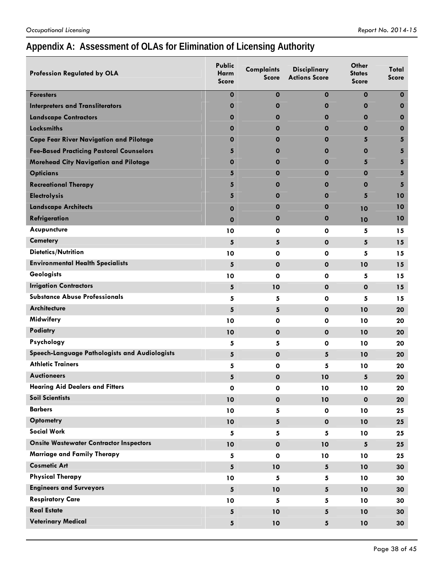# **Appendix A: Assessment of OLAs for Elimination of Licensing Authority**

| $\mathbf 0$<br>$\mathbf 0$<br>$\mathbf 0$<br>$\mathbf 0$<br>$\mathbf 0$<br><b>Foresters</b><br><b>Interpreters and Transliterators</b><br>$\mathbf 0$<br>$\mathbf 0$<br>$\mathbf 0$<br>$\mathbf 0$<br>$\mathbf 0$<br>$\mathbf 0$<br><b>Landscape Contractors</b><br>$\mathbf 0$<br>$\mathbf 0$<br>$\mathbf 0$<br>$\mathbf 0$<br><b>Locksmiths</b><br>$\mathbf 0$<br>0<br>0<br>0<br>$\mathbf 0$<br><b>Cape Fear River Navigation and Pilotage</b><br>$\mathbf 0$<br>$\mathbf 0$<br>5<br>0<br>5<br><b>Fee-Based Practicing Pastoral Counselors</b><br>5<br>$\mathbf 0$<br>$\mathbf 0$<br>$\mathbf 0$<br>5<br><b>Morehead City Navigation and Pilotage</b><br>O<br>$\mathbf 0$<br>0<br>5<br>5<br><b>Opticians</b><br>5<br>$\mathbf 0$<br>$\mathbf 0$<br>$\mathbf 0$<br>5<br><b>Recreational Therapy</b><br>5<br>$\mathbf 0$<br>$\mathbf 0$<br>$\mathbf 0$<br>$\overline{\mathbf{5}}$<br><b>Electrolysis</b><br>5<br>5<br>$\mathbf 0$<br>$\mathbf 0$<br>10<br><b>Landscape Architects</b><br>$\mathbf 0$<br>10<br>0<br>$\mathbf 0$<br>10<br>Refrigeration<br>$\mathbf 0$<br>$\mathbf 0$<br>10<br>$\mathbf 0$<br>10<br>Acupuncture<br>10<br>$\mathbf 0$<br>$\mathbf 0$<br>5<br>15<br><b>Cemetery</b><br>5<br>5<br>$\mathbf 0$<br>5<br>15<br><b>Dietetics/Nutrition</b><br>10<br>$\mathbf 0$<br>$\mathbf 0$<br>5<br>15<br><b>Environmental Health Specialists</b><br>5<br>$\mathbf 0$<br>$\mathbf 0$<br>10<br>15<br><b>Geologists</b><br>10<br>$\mathbf 0$<br>$\mathbf 0$<br>15<br>5<br><b>Irrigation Contractors</b><br>${\bf 5}$<br>10<br>$\mathbf{o}$<br>$\mathbf 0$<br>15<br><b>Substance Abuse Professionals</b><br>5<br>5<br>$\mathbf 0$<br>5<br>15<br><b>Architecture</b><br>5<br>5<br>$\mathbf 0$<br>10<br>20<br>Midwifery<br>10<br>$\mathbf{o}$<br>$\mathbf 0$<br>10<br>20<br>Podiatry<br>10<br>$\mathbf{o}$<br>$\mathbf 0$<br>10<br>20<br>Psychology<br>5<br>5<br>$\mathbf 0$<br>10<br>20<br>Speech-Language Pathologists and Audiologists<br>5<br>$\mathbf{o}$<br>5<br>10<br>20<br><b>Athletic Trainers</b><br>5<br>$\mathbf 0$<br>5<br>10<br>20<br><b>Auctioneers</b><br>5<br>$\mathbf 0$<br>10<br>5<br>20<br><b>Hearing Aid Dealers and Fitters</b><br>O<br>0<br>10<br>10<br>20<br><b>Soil Scientists</b><br>10<br>$\mathbf{o}$<br>$\mathbf 0$<br>10<br>20<br><b>Barbers</b><br>10<br>5<br>$\mathbf 0$<br>10<br>25<br><b>Optometry</b><br>5<br>$\mathbf 0$<br>10<br>10<br>25<br><b>Social Work</b><br>5<br>5<br>5<br>10<br>25<br><b>Onsite Wastewater Contractor Inspectors</b><br>10<br>$\pmb{\mathsf{O}}$<br>10<br>$\sqrt{5}$<br>25<br>Marriage and Family Therapy<br>5<br>$\mathbf 0$<br>10<br>10<br>25<br><b>Cosmetic Art</b><br>5<br>10<br>$5\phantom{.0}$<br>10<br>30<br><b>Physical Therapy</b><br>10<br>5<br>5<br>10<br>30<br><b>Engineers and Surveyors</b><br>5<br>10<br>$5\phantom{.0}$<br>10<br>30<br><b>Respiratory Care</b><br>10<br>5<br>5<br>10<br>30<br><b>Real Estate</b><br>5<br>10<br>5<br>10<br>30 | <b>Profession Regulated by OLA</b> | <b>Public</b><br><b>Harm</b><br><b>Score</b> | <b>Complaints</b><br><b>Score</b> | <b>Disciplinary</b><br><b>Actions Score</b> | Other<br>States<br><b>Score</b> | Total<br><b>Score</b> |
|--------------------------------------------------------------------------------------------------------------------------------------------------------------------------------------------------------------------------------------------------------------------------------------------------------------------------------------------------------------------------------------------------------------------------------------------------------------------------------------------------------------------------------------------------------------------------------------------------------------------------------------------------------------------------------------------------------------------------------------------------------------------------------------------------------------------------------------------------------------------------------------------------------------------------------------------------------------------------------------------------------------------------------------------------------------------------------------------------------------------------------------------------------------------------------------------------------------------------------------------------------------------------------------------------------------------------------------------------------------------------------------------------------------------------------------------------------------------------------------------------------------------------------------------------------------------------------------------------------------------------------------------------------------------------------------------------------------------------------------------------------------------------------------------------------------------------------------------------------------------------------------------------------------------------------------------------------------------------------------------------------------------------------------------------------------------------------------------------------------------------------------------------------------------------------------------------------------------------------------------------------------------------------------------------------------------------------------------------------------------------------------------------------------------------------------------------------------------------------------------------------------------------------------------------------------------------------------------------------------------------------------------------------------------------------------------------------------------------------------------------------------------------------------------------------------------------------------------------------------------------------------------------------------------------------|------------------------------------|----------------------------------------------|-----------------------------------|---------------------------------------------|---------------------------------|-----------------------|
|                                                                                                                                                                                                                                                                                                                                                                                                                                                                                                                                                                                                                                                                                                                                                                                                                                                                                                                                                                                                                                                                                                                                                                                                                                                                                                                                                                                                                                                                                                                                                                                                                                                                                                                                                                                                                                                                                                                                                                                                                                                                                                                                                                                                                                                                                                                                                                                                                                                                                                                                                                                                                                                                                                                                                                                                                                                                                                                                |                                    |                                              |                                   |                                             |                                 |                       |
|                                                                                                                                                                                                                                                                                                                                                                                                                                                                                                                                                                                                                                                                                                                                                                                                                                                                                                                                                                                                                                                                                                                                                                                                                                                                                                                                                                                                                                                                                                                                                                                                                                                                                                                                                                                                                                                                                                                                                                                                                                                                                                                                                                                                                                                                                                                                                                                                                                                                                                                                                                                                                                                                                                                                                                                                                                                                                                                                |                                    |                                              |                                   |                                             |                                 |                       |
|                                                                                                                                                                                                                                                                                                                                                                                                                                                                                                                                                                                                                                                                                                                                                                                                                                                                                                                                                                                                                                                                                                                                                                                                                                                                                                                                                                                                                                                                                                                                                                                                                                                                                                                                                                                                                                                                                                                                                                                                                                                                                                                                                                                                                                                                                                                                                                                                                                                                                                                                                                                                                                                                                                                                                                                                                                                                                                                                |                                    |                                              |                                   |                                             |                                 |                       |
|                                                                                                                                                                                                                                                                                                                                                                                                                                                                                                                                                                                                                                                                                                                                                                                                                                                                                                                                                                                                                                                                                                                                                                                                                                                                                                                                                                                                                                                                                                                                                                                                                                                                                                                                                                                                                                                                                                                                                                                                                                                                                                                                                                                                                                                                                                                                                                                                                                                                                                                                                                                                                                                                                                                                                                                                                                                                                                                                |                                    |                                              |                                   |                                             |                                 |                       |
|                                                                                                                                                                                                                                                                                                                                                                                                                                                                                                                                                                                                                                                                                                                                                                                                                                                                                                                                                                                                                                                                                                                                                                                                                                                                                                                                                                                                                                                                                                                                                                                                                                                                                                                                                                                                                                                                                                                                                                                                                                                                                                                                                                                                                                                                                                                                                                                                                                                                                                                                                                                                                                                                                                                                                                                                                                                                                                                                |                                    |                                              |                                   |                                             |                                 |                       |
|                                                                                                                                                                                                                                                                                                                                                                                                                                                                                                                                                                                                                                                                                                                                                                                                                                                                                                                                                                                                                                                                                                                                                                                                                                                                                                                                                                                                                                                                                                                                                                                                                                                                                                                                                                                                                                                                                                                                                                                                                                                                                                                                                                                                                                                                                                                                                                                                                                                                                                                                                                                                                                                                                                                                                                                                                                                                                                                                |                                    |                                              |                                   |                                             |                                 |                       |
|                                                                                                                                                                                                                                                                                                                                                                                                                                                                                                                                                                                                                                                                                                                                                                                                                                                                                                                                                                                                                                                                                                                                                                                                                                                                                                                                                                                                                                                                                                                                                                                                                                                                                                                                                                                                                                                                                                                                                                                                                                                                                                                                                                                                                                                                                                                                                                                                                                                                                                                                                                                                                                                                                                                                                                                                                                                                                                                                |                                    |                                              |                                   |                                             |                                 |                       |
|                                                                                                                                                                                                                                                                                                                                                                                                                                                                                                                                                                                                                                                                                                                                                                                                                                                                                                                                                                                                                                                                                                                                                                                                                                                                                                                                                                                                                                                                                                                                                                                                                                                                                                                                                                                                                                                                                                                                                                                                                                                                                                                                                                                                                                                                                                                                                                                                                                                                                                                                                                                                                                                                                                                                                                                                                                                                                                                                |                                    |                                              |                                   |                                             |                                 |                       |
|                                                                                                                                                                                                                                                                                                                                                                                                                                                                                                                                                                                                                                                                                                                                                                                                                                                                                                                                                                                                                                                                                                                                                                                                                                                                                                                                                                                                                                                                                                                                                                                                                                                                                                                                                                                                                                                                                                                                                                                                                                                                                                                                                                                                                                                                                                                                                                                                                                                                                                                                                                                                                                                                                                                                                                                                                                                                                                                                |                                    |                                              |                                   |                                             |                                 |                       |
|                                                                                                                                                                                                                                                                                                                                                                                                                                                                                                                                                                                                                                                                                                                                                                                                                                                                                                                                                                                                                                                                                                                                                                                                                                                                                                                                                                                                                                                                                                                                                                                                                                                                                                                                                                                                                                                                                                                                                                                                                                                                                                                                                                                                                                                                                                                                                                                                                                                                                                                                                                                                                                                                                                                                                                                                                                                                                                                                |                                    |                                              |                                   |                                             |                                 |                       |
|                                                                                                                                                                                                                                                                                                                                                                                                                                                                                                                                                                                                                                                                                                                                                                                                                                                                                                                                                                                                                                                                                                                                                                                                                                                                                                                                                                                                                                                                                                                                                                                                                                                                                                                                                                                                                                                                                                                                                                                                                                                                                                                                                                                                                                                                                                                                                                                                                                                                                                                                                                                                                                                                                                                                                                                                                                                                                                                                |                                    |                                              |                                   |                                             |                                 |                       |
|                                                                                                                                                                                                                                                                                                                                                                                                                                                                                                                                                                                                                                                                                                                                                                                                                                                                                                                                                                                                                                                                                                                                                                                                                                                                                                                                                                                                                                                                                                                                                                                                                                                                                                                                                                                                                                                                                                                                                                                                                                                                                                                                                                                                                                                                                                                                                                                                                                                                                                                                                                                                                                                                                                                                                                                                                                                                                                                                |                                    |                                              |                                   |                                             |                                 |                       |
|                                                                                                                                                                                                                                                                                                                                                                                                                                                                                                                                                                                                                                                                                                                                                                                                                                                                                                                                                                                                                                                                                                                                                                                                                                                                                                                                                                                                                                                                                                                                                                                                                                                                                                                                                                                                                                                                                                                                                                                                                                                                                                                                                                                                                                                                                                                                                                                                                                                                                                                                                                                                                                                                                                                                                                                                                                                                                                                                |                                    |                                              |                                   |                                             |                                 |                       |
|                                                                                                                                                                                                                                                                                                                                                                                                                                                                                                                                                                                                                                                                                                                                                                                                                                                                                                                                                                                                                                                                                                                                                                                                                                                                                                                                                                                                                                                                                                                                                                                                                                                                                                                                                                                                                                                                                                                                                                                                                                                                                                                                                                                                                                                                                                                                                                                                                                                                                                                                                                                                                                                                                                                                                                                                                                                                                                                                |                                    |                                              |                                   |                                             |                                 |                       |
|                                                                                                                                                                                                                                                                                                                                                                                                                                                                                                                                                                                                                                                                                                                                                                                                                                                                                                                                                                                                                                                                                                                                                                                                                                                                                                                                                                                                                                                                                                                                                                                                                                                                                                                                                                                                                                                                                                                                                                                                                                                                                                                                                                                                                                                                                                                                                                                                                                                                                                                                                                                                                                                                                                                                                                                                                                                                                                                                |                                    |                                              |                                   |                                             |                                 |                       |
|                                                                                                                                                                                                                                                                                                                                                                                                                                                                                                                                                                                                                                                                                                                                                                                                                                                                                                                                                                                                                                                                                                                                                                                                                                                                                                                                                                                                                                                                                                                                                                                                                                                                                                                                                                                                                                                                                                                                                                                                                                                                                                                                                                                                                                                                                                                                                                                                                                                                                                                                                                                                                                                                                                                                                                                                                                                                                                                                |                                    |                                              |                                   |                                             |                                 |                       |
|                                                                                                                                                                                                                                                                                                                                                                                                                                                                                                                                                                                                                                                                                                                                                                                                                                                                                                                                                                                                                                                                                                                                                                                                                                                                                                                                                                                                                                                                                                                                                                                                                                                                                                                                                                                                                                                                                                                                                                                                                                                                                                                                                                                                                                                                                                                                                                                                                                                                                                                                                                                                                                                                                                                                                                                                                                                                                                                                |                                    |                                              |                                   |                                             |                                 |                       |
|                                                                                                                                                                                                                                                                                                                                                                                                                                                                                                                                                                                                                                                                                                                                                                                                                                                                                                                                                                                                                                                                                                                                                                                                                                                                                                                                                                                                                                                                                                                                                                                                                                                                                                                                                                                                                                                                                                                                                                                                                                                                                                                                                                                                                                                                                                                                                                                                                                                                                                                                                                                                                                                                                                                                                                                                                                                                                                                                |                                    |                                              |                                   |                                             |                                 |                       |
|                                                                                                                                                                                                                                                                                                                                                                                                                                                                                                                                                                                                                                                                                                                                                                                                                                                                                                                                                                                                                                                                                                                                                                                                                                                                                                                                                                                                                                                                                                                                                                                                                                                                                                                                                                                                                                                                                                                                                                                                                                                                                                                                                                                                                                                                                                                                                                                                                                                                                                                                                                                                                                                                                                                                                                                                                                                                                                                                |                                    |                                              |                                   |                                             |                                 |                       |
|                                                                                                                                                                                                                                                                                                                                                                                                                                                                                                                                                                                                                                                                                                                                                                                                                                                                                                                                                                                                                                                                                                                                                                                                                                                                                                                                                                                                                                                                                                                                                                                                                                                                                                                                                                                                                                                                                                                                                                                                                                                                                                                                                                                                                                                                                                                                                                                                                                                                                                                                                                                                                                                                                                                                                                                                                                                                                                                                |                                    |                                              |                                   |                                             |                                 |                       |
|                                                                                                                                                                                                                                                                                                                                                                                                                                                                                                                                                                                                                                                                                                                                                                                                                                                                                                                                                                                                                                                                                                                                                                                                                                                                                                                                                                                                                                                                                                                                                                                                                                                                                                                                                                                                                                                                                                                                                                                                                                                                                                                                                                                                                                                                                                                                                                                                                                                                                                                                                                                                                                                                                                                                                                                                                                                                                                                                |                                    |                                              |                                   |                                             |                                 |                       |
|                                                                                                                                                                                                                                                                                                                                                                                                                                                                                                                                                                                                                                                                                                                                                                                                                                                                                                                                                                                                                                                                                                                                                                                                                                                                                                                                                                                                                                                                                                                                                                                                                                                                                                                                                                                                                                                                                                                                                                                                                                                                                                                                                                                                                                                                                                                                                                                                                                                                                                                                                                                                                                                                                                                                                                                                                                                                                                                                |                                    |                                              |                                   |                                             |                                 |                       |
|                                                                                                                                                                                                                                                                                                                                                                                                                                                                                                                                                                                                                                                                                                                                                                                                                                                                                                                                                                                                                                                                                                                                                                                                                                                                                                                                                                                                                                                                                                                                                                                                                                                                                                                                                                                                                                                                                                                                                                                                                                                                                                                                                                                                                                                                                                                                                                                                                                                                                                                                                                                                                                                                                                                                                                                                                                                                                                                                |                                    |                                              |                                   |                                             |                                 |                       |
|                                                                                                                                                                                                                                                                                                                                                                                                                                                                                                                                                                                                                                                                                                                                                                                                                                                                                                                                                                                                                                                                                                                                                                                                                                                                                                                                                                                                                                                                                                                                                                                                                                                                                                                                                                                                                                                                                                                                                                                                                                                                                                                                                                                                                                                                                                                                                                                                                                                                                                                                                                                                                                                                                                                                                                                                                                                                                                                                |                                    |                                              |                                   |                                             |                                 |                       |
|                                                                                                                                                                                                                                                                                                                                                                                                                                                                                                                                                                                                                                                                                                                                                                                                                                                                                                                                                                                                                                                                                                                                                                                                                                                                                                                                                                                                                                                                                                                                                                                                                                                                                                                                                                                                                                                                                                                                                                                                                                                                                                                                                                                                                                                                                                                                                                                                                                                                                                                                                                                                                                                                                                                                                                                                                                                                                                                                |                                    |                                              |                                   |                                             |                                 |                       |
|                                                                                                                                                                                                                                                                                                                                                                                                                                                                                                                                                                                                                                                                                                                                                                                                                                                                                                                                                                                                                                                                                                                                                                                                                                                                                                                                                                                                                                                                                                                                                                                                                                                                                                                                                                                                                                                                                                                                                                                                                                                                                                                                                                                                                                                                                                                                                                                                                                                                                                                                                                                                                                                                                                                                                                                                                                                                                                                                |                                    |                                              |                                   |                                             |                                 |                       |
|                                                                                                                                                                                                                                                                                                                                                                                                                                                                                                                                                                                                                                                                                                                                                                                                                                                                                                                                                                                                                                                                                                                                                                                                                                                                                                                                                                                                                                                                                                                                                                                                                                                                                                                                                                                                                                                                                                                                                                                                                                                                                                                                                                                                                                                                                                                                                                                                                                                                                                                                                                                                                                                                                                                                                                                                                                                                                                                                |                                    |                                              |                                   |                                             |                                 |                       |
|                                                                                                                                                                                                                                                                                                                                                                                                                                                                                                                                                                                                                                                                                                                                                                                                                                                                                                                                                                                                                                                                                                                                                                                                                                                                                                                                                                                                                                                                                                                                                                                                                                                                                                                                                                                                                                                                                                                                                                                                                                                                                                                                                                                                                                                                                                                                                                                                                                                                                                                                                                                                                                                                                                                                                                                                                                                                                                                                |                                    |                                              |                                   |                                             |                                 |                       |
|                                                                                                                                                                                                                                                                                                                                                                                                                                                                                                                                                                                                                                                                                                                                                                                                                                                                                                                                                                                                                                                                                                                                                                                                                                                                                                                                                                                                                                                                                                                                                                                                                                                                                                                                                                                                                                                                                                                                                                                                                                                                                                                                                                                                                                                                                                                                                                                                                                                                                                                                                                                                                                                                                                                                                                                                                                                                                                                                |                                    |                                              |                                   |                                             |                                 |                       |
|                                                                                                                                                                                                                                                                                                                                                                                                                                                                                                                                                                                                                                                                                                                                                                                                                                                                                                                                                                                                                                                                                                                                                                                                                                                                                                                                                                                                                                                                                                                                                                                                                                                                                                                                                                                                                                                                                                                                                                                                                                                                                                                                                                                                                                                                                                                                                                                                                                                                                                                                                                                                                                                                                                                                                                                                                                                                                                                                |                                    |                                              |                                   |                                             |                                 |                       |
|                                                                                                                                                                                                                                                                                                                                                                                                                                                                                                                                                                                                                                                                                                                                                                                                                                                                                                                                                                                                                                                                                                                                                                                                                                                                                                                                                                                                                                                                                                                                                                                                                                                                                                                                                                                                                                                                                                                                                                                                                                                                                                                                                                                                                                                                                                                                                                                                                                                                                                                                                                                                                                                                                                                                                                                                                                                                                                                                |                                    |                                              |                                   |                                             |                                 |                       |
|                                                                                                                                                                                                                                                                                                                                                                                                                                                                                                                                                                                                                                                                                                                                                                                                                                                                                                                                                                                                                                                                                                                                                                                                                                                                                                                                                                                                                                                                                                                                                                                                                                                                                                                                                                                                                                                                                                                                                                                                                                                                                                                                                                                                                                                                                                                                                                                                                                                                                                                                                                                                                                                                                                                                                                                                                                                                                                                                |                                    |                                              |                                   |                                             |                                 |                       |
|                                                                                                                                                                                                                                                                                                                                                                                                                                                                                                                                                                                                                                                                                                                                                                                                                                                                                                                                                                                                                                                                                                                                                                                                                                                                                                                                                                                                                                                                                                                                                                                                                                                                                                                                                                                                                                                                                                                                                                                                                                                                                                                                                                                                                                                                                                                                                                                                                                                                                                                                                                                                                                                                                                                                                                                                                                                                                                                                |                                    |                                              |                                   |                                             |                                 |                       |
|                                                                                                                                                                                                                                                                                                                                                                                                                                                                                                                                                                                                                                                                                                                                                                                                                                                                                                                                                                                                                                                                                                                                                                                                                                                                                                                                                                                                                                                                                                                                                                                                                                                                                                                                                                                                                                                                                                                                                                                                                                                                                                                                                                                                                                                                                                                                                                                                                                                                                                                                                                                                                                                                                                                                                                                                                                                                                                                                |                                    |                                              |                                   |                                             |                                 |                       |
|                                                                                                                                                                                                                                                                                                                                                                                                                                                                                                                                                                                                                                                                                                                                                                                                                                                                                                                                                                                                                                                                                                                                                                                                                                                                                                                                                                                                                                                                                                                                                                                                                                                                                                                                                                                                                                                                                                                                                                                                                                                                                                                                                                                                                                                                                                                                                                                                                                                                                                                                                                                                                                                                                                                                                                                                                                                                                                                                |                                    |                                              |                                   |                                             |                                 |                       |
|                                                                                                                                                                                                                                                                                                                                                                                                                                                                                                                                                                                                                                                                                                                                                                                                                                                                                                                                                                                                                                                                                                                                                                                                                                                                                                                                                                                                                                                                                                                                                                                                                                                                                                                                                                                                                                                                                                                                                                                                                                                                                                                                                                                                                                                                                                                                                                                                                                                                                                                                                                                                                                                                                                                                                                                                                                                                                                                                |                                    |                                              |                                   |                                             |                                 |                       |
|                                                                                                                                                                                                                                                                                                                                                                                                                                                                                                                                                                                                                                                                                                                                                                                                                                                                                                                                                                                                                                                                                                                                                                                                                                                                                                                                                                                                                                                                                                                                                                                                                                                                                                                                                                                                                                                                                                                                                                                                                                                                                                                                                                                                                                                                                                                                                                                                                                                                                                                                                                                                                                                                                                                                                                                                                                                                                                                                |                                    |                                              |                                   |                                             |                                 |                       |
|                                                                                                                                                                                                                                                                                                                                                                                                                                                                                                                                                                                                                                                                                                                                                                                                                                                                                                                                                                                                                                                                                                                                                                                                                                                                                                                                                                                                                                                                                                                                                                                                                                                                                                                                                                                                                                                                                                                                                                                                                                                                                                                                                                                                                                                                                                                                                                                                                                                                                                                                                                                                                                                                                                                                                                                                                                                                                                                                |                                    |                                              |                                   |                                             |                                 |                       |
| ${\bf 5}$<br>10<br>$5\phantom{.0}$<br>10<br>30                                                                                                                                                                                                                                                                                                                                                                                                                                                                                                                                                                                                                                                                                                                                                                                                                                                                                                                                                                                                                                                                                                                                                                                                                                                                                                                                                                                                                                                                                                                                                                                                                                                                                                                                                                                                                                                                                                                                                                                                                                                                                                                                                                                                                                                                                                                                                                                                                                                                                                                                                                                                                                                                                                                                                                                                                                                                                 | <b>Veterinary Medical</b>          |                                              |                                   |                                             |                                 |                       |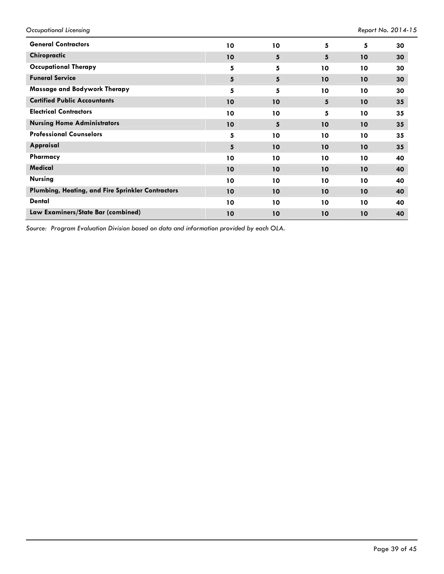*Occupational Licensing Report No. 2014-15*

| <b>General Contractors</b>                        | 10              | 10              | 5  | 5  | 30 |
|---------------------------------------------------|-----------------|-----------------|----|----|----|
| Chiropractic                                      | 10              | 5               | 5  | 10 | 30 |
| <b>Occupational Therapy</b>                       | 5               | 5               | 10 | 10 | 30 |
| <b>Funeral Service</b>                            | $5\phantom{.0}$ | 5               | 10 | 10 | 30 |
| Massage and Bodywork Therapy                      | 5               | 5               | 10 | 10 | 30 |
| <b>Certified Public Accountants</b>               | 10              | 10              | 5  | 10 | 35 |
| <b>Electrical Contractors</b>                     | 10              | 10 <sup>°</sup> | 5  | 10 | 35 |
| <b>Nursing Home Administrators</b>                | 10              | 5               | 10 | 10 | 35 |
| <b>Professional Counselors</b>                    | 5               | 10 <sup>°</sup> | 10 | 10 | 35 |
| Appraisal                                         | 5               | 10              | 10 | 10 | 35 |
| Pharmacy                                          | 10              | 10              | 10 | 10 | 40 |
| <b>Medical</b>                                    | 10              | 10 <sup>°</sup> | 10 | 10 | 40 |
| <b>Nursing</b>                                    | 10              | 10              | 10 | 10 | 40 |
| Plumbing, Heating, and Fire Sprinkler Contractors | 10              | 10 <sup>°</sup> | 10 | 10 | 40 |
| <b>Dental</b>                                     | 10              | 10              | 10 | 10 | 40 |
| Law Examiners/State Bar (combined)                | 10              | 10              | 10 | 10 | 40 |

*Source: Program Evaluation Division based on data and information provided by each OLA.*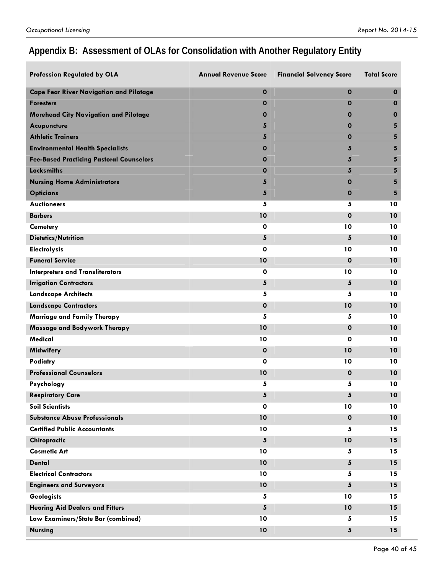# **Appendix B: Assessment of OLAs for Consolidation with Another Regulatory Entity**

| Profession Regulated by OLA                     | <b>Annual Revenue Score</b> | <b>Financial Solvency Score</b> | <b>Total Score</b> |
|-------------------------------------------------|-----------------------------|---------------------------------|--------------------|
| <b>Cape Fear River Navigation and Pilotage</b>  | $\mathbf 0$                 | $\mathbf 0$                     | $\mathbf 0$        |
| <b>Foresters</b>                                | $\mathbf 0$                 | 0                               | 0                  |
| Morehead City Navigation and Pilotage           | 0                           | 0                               | $\mathbf 0$        |
| <b>Acupuncture</b>                              | 5                           | 0                               | 5                  |
| <b>Athletic Trainers</b>                        | 5                           | 0                               | 5                  |
| <b>Environmental Health Specialists</b>         | 0                           | 5                               | 5                  |
| <b>Fee-Based Practicing Pastoral Counselors</b> | 0                           | 5                               | 5                  |
| <b>Locksmiths</b>                               | 0                           | 5                               | 5                  |
| <b>Nursing Home Administrators</b>              | 5                           | 0                               | 5                  |
| <b>Opticians</b>                                | 5                           | 0                               | 5                  |
| <b>Auctioneers</b>                              | 5                           | 5                               | 10                 |
| <b>Barbers</b>                                  | 10                          | $\mathbf 0$                     | 10                 |
| <b>Cemetery</b>                                 | 0                           | 10                              | 10                 |
| <b>Dietetics/Nutrition</b>                      | 5                           | 5                               | 10                 |
| Electrolysis                                    | 0                           | 10                              | 10                 |
| <b>Funeral Service</b>                          | 10                          | $\mathbf 0$                     | 10                 |
| <b>Interpreters and Transliterators</b>         | 0                           | 10                              | 10                 |
| <b>Irrigation Contractors</b>                   | 5                           | $5\phantom{.0}$                 | 10                 |
| <b>Landscape Architects</b>                     | 5                           | 5                               | 10                 |
| <b>Landscape Contractors</b>                    | $\mathbf 0$                 | 10                              | 10                 |
| Marriage and Family Therapy                     | 5                           | 5                               | 10                 |
| Massage and Bodywork Therapy                    | 10                          | $\mathbf{o}$                    | 10                 |
| Medical                                         | 10                          | 0                               | 10                 |
| Midwifery                                       | $\mathbf 0$                 | 10                              | 10                 |
| Podiatry                                        | 0                           | 10                              | 10                 |
| <b>Professional Counselors</b>                  | 10                          | $\mathbf 0$                     | 10                 |
| Psychology                                      | 5                           | 5                               | 10                 |
| <b>Respiratory Care</b>                         | 5                           | 5                               | 10                 |
| <b>Soil Scientists</b>                          | $\mathbf 0$                 | 10                              | 10                 |
| <b>Substance Abuse Professionals</b>            | 10                          | $\mathbf{o}$                    | 10                 |
| <b>Certified Public Accountants</b>             | 10                          | 5                               | 15                 |
| Chiropractic                                    | 5                           | 10                              | 15                 |
| <b>Cosmetic Art</b>                             | 10                          | 5                               | 15                 |
| <b>Dental</b>                                   | 10                          | $5\phantom{.0}$                 | 15                 |
| <b>Electrical Contractors</b>                   | 10                          | 5                               | 15                 |
| <b>Engineers and Surveyors</b>                  | 10                          | 5                               | 15                 |
| <b>Geologists</b>                               | 5                           | 10                              | 15                 |
| <b>Hearing Aid Dealers and Fitters</b>          | 5                           | 10                              | 15                 |
| Law Examiners/State Bar (combined)              | 10                          | 5                               | 15                 |
| <b>Nursing</b>                                  | 10                          | $\sqrt{5}$                      | 15                 |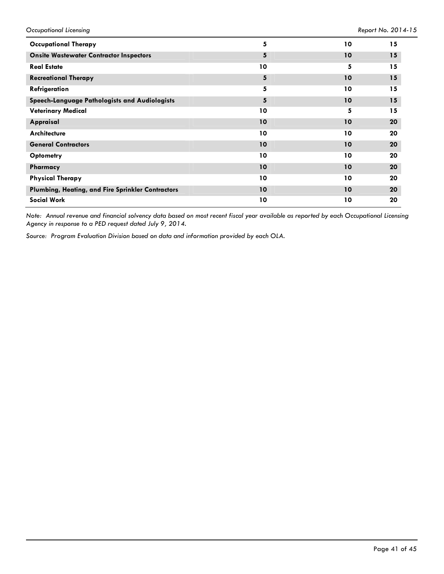| <b>Occupational Therapy</b>                       | 5               | 10 | 15 |
|---------------------------------------------------|-----------------|----|----|
| <b>Onsite Wastewater Contractor Inspectors</b>    | 5               | 10 | 15 |
| <b>Real Estate</b>                                | 10              | 5  | 15 |
| <b>Recreational Therapy</b>                       | 5               | 10 | 15 |
| Refrigeration                                     | 5               | 10 | 15 |
| Speech-Language Pathologists and Audiologists     | 5               | 10 | 15 |
| <b>Veterinary Medical</b>                         | 10              | 5  | 15 |
| Appraisal                                         | 10              | 10 | 20 |
| <b>Architecture</b>                               | 10              | 10 | 20 |
| <b>General Contractors</b>                        | 10              | 10 | 20 |
| Optometry                                         | 10              | 10 | 20 |
| Pharmacy                                          | 10              | 10 | 20 |
| <b>Physical Therapy</b>                           | 10              | 10 | 20 |
| Plumbing, Heating, and Fire Sprinkler Contractors | 10 <sup>°</sup> | 10 | 20 |
| <b>Social Work</b>                                | 10              | 10 | 20 |

*Note: Annual revenue and financial solvency data based on most recent fiscal year available as reported by each Occupational Licensing Agency in response to a PED request dated July 9, 2014.* 

*Source: Program Evaluation Division based on data and information provided by each OLA.*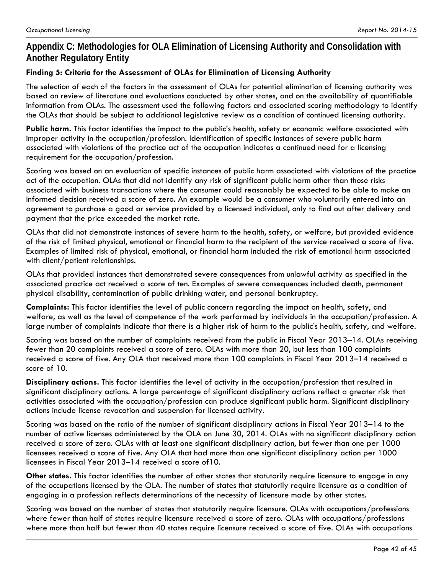# **Appendix C: Methodologies for OLA Elimination of Licensing Authority and Consolidation with Another Regulatory Entity**

### **Finding 5: Criteria for the Assessment of OLAs for Elimination of Licensing Authority**

The selection of each of the factors in the assessment of OLAs for potential elimination of licensing authority was based on review of literature and evaluations conducted by other states, and on the availability of quantifiable information from OLAs. The assessment used the following factors and associated scoring methodology to identify the OLAs that should be subject to additional legislative review as a condition of continued licensing authority.

**Public harm.** This factor identifies the impact to the public's health, safety or economic welfare associated with improper activity in the occupation/profession. Identification of specific instances of severe public harm associated with violations of the practice act of the occupation indicates a continued need for a licensing requirement for the occupation/profession.

Scoring was based on an evaluation of specific instances of public harm associated with violations of the practice act of the occupation. OLAs that did not identify any risk of significant public harm other than those risks associated with business transactions where the consumer could reasonably be expected to be able to make an informed decision received a score of zero. An example would be a consumer who voluntarily entered into an agreement to purchase a good or service provided by a licensed individual, only to find out after delivery and payment that the price exceeded the market rate.

OLAs that did not demonstrate instances of severe harm to the health, safety, or welfare, but provided evidence of the risk of limited physical, emotional or financial harm to the recipient of the service received a score of five. Examples of limited risk of physical, emotional, or financial harm included the risk of emotional harm associated with client/patient relationships.

OLAs that provided instances that demonstrated severe consequences from unlawful activity as specified in the associated practice act received a score of ten. Examples of severe consequences included death, permanent physical disability, contamination of public drinking water, and personal bankruptcy.

**Complaints:** This factor identifies the level of public concern regarding the impact on health, safety, and welfare, as well as the level of competence of the work performed by individuals in the occupation/profession. A large number of complaints indicate that there is a higher risk of harm to the public's health, safety, and welfare.

Scoring was based on the number of complaints received from the public in Fiscal Year 2013–14. OLAs receiving fewer than 20 complaints received a score of zero. OLAs with more than 20, but less than 100 complaints received a score of five. Any OLA that received more than 100 complaints in Fiscal Year 2013–14 received a score of 10.

**Disciplinary actions.** This factor identifies the level of activity in the occupation/profession that resulted in significant disciplinary actions. A large percentage of significant disciplinary actions reflect a greater risk that activities associated with the occupation/profession can produce significant public harm. Significant disciplinary actions include license revocation and suspension for licensed activity.

Scoring was based on the ratio of the number of significant disciplinary actions in Fiscal Year 2013–14 to the number of active licenses administered by the OLA on June 30, 2014. OLAs with no significant disciplinary action received a score of zero. OLAs with at least one significant disciplinary action, but fewer than one per 1000 licensees received a score of five. Any OLA that had more than one significant disciplinary action per 1000 licensees in Fiscal Year 2013–14 received a score of10.

**Other states.** This factor identifies the number of other states that statutorily require licensure to engage in any of the occupations licensed by the OLA. The number of states that statutorily require licensure as a condition of engaging in a profession reflects determinations of the necessity of licensure made by other states.

Scoring was based on the number of states that statutorily require licensure. OLAs with occupations/professions where fewer than half of states require licensure received a score of zero. OLAs with occupations/professions where more than half but fewer than 40 states require licensure received a score of five. OLAs with occupations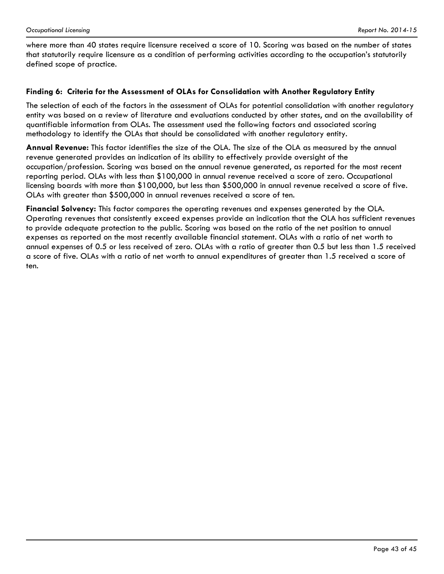where more than 40 states require licensure received a score of 10. Scoring was based on the number of states that statutorily require licensure as a condition of performing activities according to the occupation's statutorily defined scope of practice.

#### **Finding 6: Criteria for the Assessment of OLAs for Consolidation with Another Regulatory Entity**

The selection of each of the factors in the assessment of OLAs for potential consolidation with another regulatory entity was based on a review of literature and evaluations conducted by other states, and on the availability of quantifiable information from OLAs. The assessment used the following factors and associated scoring methodology to identify the OLAs that should be consolidated with another regulatory entity.

**Annual Revenue:** This factor identifies the size of the OLA. The size of the OLA as measured by the annual revenue generated provides an indication of its ability to effectively provide oversight of the occupation/profession. Scoring was based on the annual revenue generated, as reported for the most recent reporting period. OLAs with less than \$100,000 in annual revenue received a score of zero. Occupational licensing boards with more than \$100,000, but less than \$500,000 in annual revenue received a score of five. OLAs with greater than \$500,000 in annual revenues received a score of ten.

**Financial Solvency:** This factor compares the operating revenues and expenses generated by the OLA. Operating revenues that consistently exceed expenses provide an indication that the OLA has sufficient revenues to provide adequate protection to the public. Scoring was based on the ratio of the net position to annual expenses as reported on the most recently available financial statement. OLAs with a ratio of net worth to annual expenses of 0.5 or less received of zero. OLAs with a ratio of greater than 0.5 but less than 1.5 received a score of five. OLAs with a ratio of net worth to annual expenditures of greater than 1.5 received a score of ten.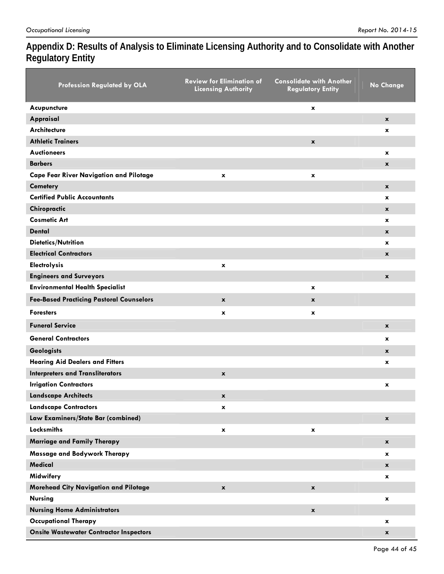# **Appendix D: Results of Analysis to Eliminate Licensing Authority and to Consolidate with Another Regulatory Entity**

| Profession Regulated by OLA                    | <b>Review for Elimination of</b><br><b>Licensing Authority</b> | <b>Consolidate with Another</b><br><b>Regulatory Entity</b> | <b>No Change</b>   |
|------------------------------------------------|----------------------------------------------------------------|-------------------------------------------------------------|--------------------|
| Acupuncture                                    |                                                                | x                                                           |                    |
| Appraisal                                      |                                                                |                                                             | $\mathbf{x}$       |
| <b>Architecture</b>                            |                                                                |                                                             | x                  |
| <b>Athletic Trainers</b>                       |                                                                | $\mathbf x$                                                 |                    |
| <b>Auctioneers</b>                             |                                                                |                                                             | x                  |
| <b>Barbers</b>                                 |                                                                |                                                             | $\mathbf{x}$       |
| <b>Cape Fear River Navigation and Pilotage</b> | x                                                              | x                                                           |                    |
| <b>Cemetery</b>                                |                                                                |                                                             | $\mathbf x$        |
| <b>Certified Public Accountants</b>            |                                                                |                                                             | x                  |
| Chiropractic                                   |                                                                |                                                             | $\mathbf{x}$       |
| <b>Cosmetic Art</b>                            |                                                                |                                                             | x                  |
| <b>Dental</b>                                  |                                                                |                                                             | $\mathbf{x}$       |
| <b>Dietetics/Nutrition</b>                     |                                                                |                                                             | <b>x</b>           |
| <b>Electrical Contractors</b>                  |                                                                |                                                             | $\mathbf{x}$       |
| <b>Electrolysis</b>                            | x                                                              |                                                             |                    |
| <b>Engineers and Surveyors</b>                 |                                                                |                                                             | $\mathbf{x}$       |
| <b>Environmental Health Specialist</b>         |                                                                | $\mathbf x$                                                 |                    |
| Fee-Based Practicing Pastoral Counselors       | $\pmb{\chi}$                                                   | $\pmb{\mathsf{x}}$                                          |                    |
| <b>Foresters</b>                               | x                                                              | $\mathbf x$                                                 |                    |
| <b>Funeral Service</b>                         |                                                                |                                                             | $\mathbf x$        |
| <b>General Contractors</b>                     |                                                                |                                                             | x                  |
| <b>Geologists</b>                              |                                                                |                                                             | $\mathbf{x}$       |
| <b>Hearing Aid Dealers and Fitters</b>         |                                                                |                                                             | x                  |
| <b>Interpreters and Transliterators</b>        | $\mathbf x$                                                    |                                                             |                    |
| <b>Irrigation Contractors</b>                  |                                                                |                                                             | x                  |
| <b>Landscape Architects</b>                    | x                                                              |                                                             |                    |
| <b>Landscape Contractors</b>                   | $\pmb{\mathsf{x}}$                                             |                                                             |                    |
| Law Examiners/State Bar (combined)             |                                                                |                                                             | $\mathbf{x}$       |
| <b>Locksmiths</b>                              | $\pmb{\mathsf{x}}$                                             | $\pmb{\mathsf{x}}$                                          |                    |
| <b>Marriage and Family Therapy</b>             |                                                                |                                                             | $\mathbf{x}$       |
| Massage and Bodywork Therapy                   |                                                                |                                                             | $\mathbf{x}$       |
| <b>Medical</b>                                 |                                                                |                                                             | $\mathbf{x}$       |
| Midwifery                                      |                                                                |                                                             | x                  |
| Morehead City Navigation and Pilotage          | $\pmb{\mathsf{x}}$                                             | $\pmb{\mathsf{x}}$                                          |                    |
| <b>Nursing</b>                                 |                                                                |                                                             | $\mathbf x$        |
| <b>Nursing Home Administrators</b>             |                                                                | $\pmb{\mathsf{x}}$                                          |                    |
| <b>Occupational Therapy</b>                    |                                                                |                                                             | $\mathbf{x}$       |
| <b>Onsite Wastewater Contractor Inspectors</b> |                                                                |                                                             | $\pmb{\mathsf{x}}$ |